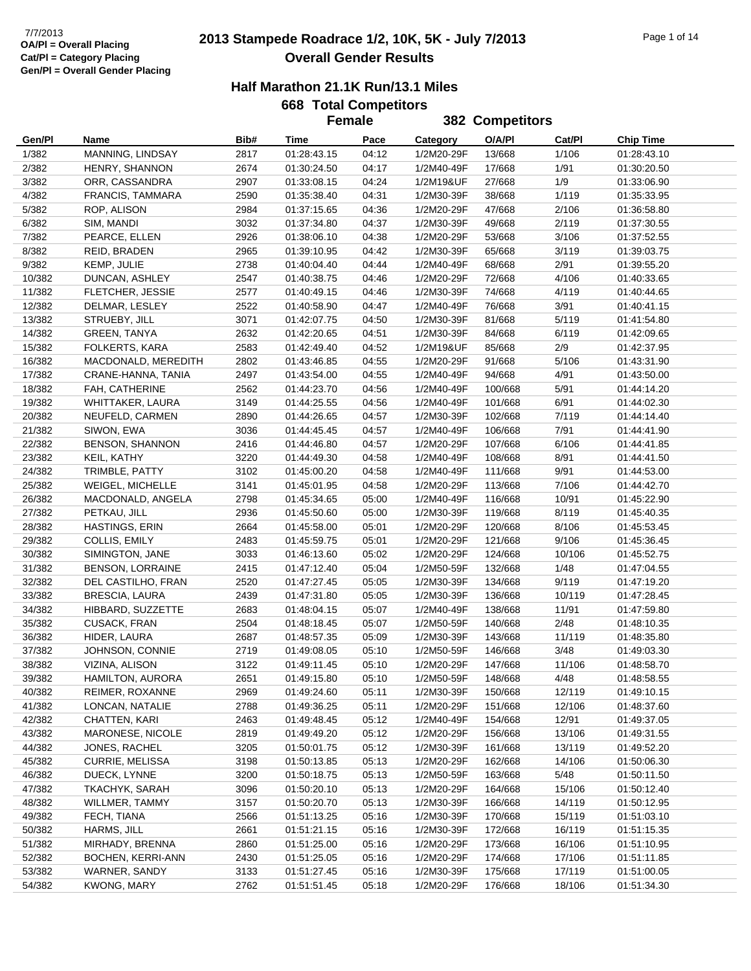## **2013 Stampede Roadrace 1/2, 10K, 5K - July 7/2013** 7/7/2013 Page 1 of 14 **Overall Gender Results**

|  | 668 Total Competitors |  |
|--|-----------------------|--|
|  | Eamala                |  |

|                  |                                   |              | <b>Female</b>              |                |                          | 382 Competitors    |                 |                            |
|------------------|-----------------------------------|--------------|----------------------------|----------------|--------------------------|--------------------|-----------------|----------------------------|
| Gen/Pl           | Name                              | Bib#         | Time                       | Pace           | Category                 | O/A/PI             | Cat/Pl          | <b>Chip Time</b>           |
| 1/382            | MANNING, LINDSAY                  | 2817         | 01:28:43.15                | 04:12          | 1/2M20-29F               | 13/668             | 1/106           | 01:28:43.10                |
| 2/382            | HENRY, SHANNON                    | 2674         | 01:30:24.50                | 04:17          | 1/2M40-49F               | 17/668             | 1/91            | 01:30:20.50                |
| 3/382            | ORR, CASSANDRA                    | 2907         | 01:33:08.15                | 04:24          | 1/2M19&UF                | 27/668             | 1/9             | 01:33:06.90                |
| 4/382            | FRANCIS, TAMMARA                  | 2590         | 01:35:38.40                | 04:31          | 1/2M30-39F               | 38/668             | 1/119           | 01:35:33.95                |
| 5/382            | ROP, ALISON                       | 2984         | 01:37:15.65                | 04:36          | 1/2M20-29F               | 47/668             | 2/106           | 01:36:58.80                |
| 6/382            | SIM, MANDI                        | 3032         | 01:37:34.80                | 04:37          | 1/2M30-39F               | 49/668             | 2/119           | 01:37:30.55                |
| 7/382            | PEARCE, ELLEN                     | 2926         | 01:38:06.10                | 04:38          | 1/2M20-29F               | 53/668             | 3/106           | 01:37:52.55                |
| 8/382            | REID, BRADEN                      | 2965         | 01:39:10.95                | 04:42          | 1/2M30-39F               | 65/668             | 3/119           | 01:39:03.75                |
| 9/382            | KEMP, JULIE                       | 2738         | 01:40:04.40                | 04:44          | 1/2M40-49F               | 68/668             | 2/91            | 01:39:55.20                |
| 10/382           | DUNCAN, ASHLEY                    | 2547         | 01:40:38.75                | 04:46          | 1/2M20-29F               | 72/668             | 4/106           | 01:40:33.65                |
| 11/382           | FLETCHER, JESSIE                  | 2577         | 01:40:49.15                | 04:46          | 1/2M30-39F               | 74/668             | 4/119           | 01:40:44.65                |
| 12/382           | DELMAR, LESLEY                    | 2522         | 01:40:58.90                | 04:47          | 1/2M40-49F               | 76/668             | 3/91            | 01:40:41.15                |
| 13/382           | STRUEBY, JILL                     | 3071         | 01:42:07.75                | 04:50          | 1/2M30-39F               | 81/668             | 5/119           | 01:41:54.80                |
| 14/382           | <b>GREEN, TANYA</b>               | 2632         | 01:42:20.65                | 04:51          | 1/2M30-39F               | 84/668             | 6/119           | 01:42:09.65                |
| 15/382           | FOLKERTS, KARA                    | 2583         | 01:42:49.40                | 04:52          | 1/2M19&UF                | 85/668             | 2/9             | 01:42:37.95                |
| 16/382           | MACDONALD, MEREDITH               | 2802         | 01:43:46.85                | 04:55          | 1/2M20-29F               | 91/668             | 5/106           | 01:43:31.90                |
| 17/382           | CRANE-HANNA, TANIA                | 2497         | 01:43:54.00                | 04:55          | 1/2M40-49F               | 94/668             | 4/91            | 01:43:50.00                |
| 18/382           | FAH, CATHERINE                    | 2562         | 01:44:23.70                | 04:56          | 1/2M40-49F               | 100/668            | 5/91            | 01:44:14.20                |
| 19/382           | WHITTAKER, LAURA                  | 3149         | 01:44:25.55                | 04:56          | 1/2M40-49F               | 101/668            | 6/91            | 01:44:02.30                |
| 20/382           | NEUFELD, CARMEN                   | 2890         | 01:44:26.65                | 04:57          | 1/2M30-39F               | 102/668            | 7/119           | 01:44:14.40                |
| 21/382           | SIWON, EWA                        | 3036         | 01:44:45.45                | 04:57          | 1/2M40-49F               | 106/668            | 7/91            | 01:44:41.90                |
| 22/382           | <b>BENSON, SHANNON</b>            | 2416         | 01:44:46.80                | 04:57          | 1/2M20-29F               | 107/668            | 6/106           | 01:44:41.85                |
| 23/382           | KEIL, KATHY                       | 3220         | 01:44:49.30                | 04:58          | 1/2M40-49F               | 108/668            | 8/91            | 01:44:41.50                |
| 24/382           | TRIMBLE, PATTY                    | 3102         | 01:45:00.20                | 04:58          | 1/2M40-49F               | 111/668            | 9/91            | 01:44:53.00                |
| 25/382           | WEIGEL, MICHELLE                  | 3141         | 01:45:01.95                | 04:58          | 1/2M20-29F               | 113/668            | 7/106           | 01:44:42.70                |
| 26/382           | MACDONALD, ANGELA                 | 2798         | 01:45:34.65                | 05:00          | 1/2M40-49F               | 116/668            | 10/91           | 01:45:22.90                |
| 27/382           | PETKAU, JILL                      | 2936         | 01:45:50.60                | 05:00          | 1/2M30-39F               | 119/668            | 8/119           | 01:45:40.35                |
| 28/382           | HASTINGS, ERIN                    | 2664         | 01:45:58.00                | 05:01          | 1/2M20-29F               | 120/668            | 8/106           | 01:45:53.45                |
| 29/382           | COLLIS, EMILY                     | 2483         | 01:45:59.75                | 05:01          | 1/2M20-29F               | 121/668            | 9/106           | 01:45:36.45                |
| 30/382           | SIMINGTON, JANE                   | 3033         | 01:46:13.60                | 05:02          | 1/2M20-29F               | 124/668            | 10/106          | 01:45:52.75                |
| 31/382           | <b>BENSON, LORRAINE</b>           | 2415         | 01:47:12.40                | 05:04          | 1/2M50-59F               | 132/668            | 1/48            | 01:47:04.55                |
| 32/382           | DEL CASTILHO, FRAN                | 2520         | 01:47:27.45                | 05:05          | 1/2M30-39F               | 134/668            | 9/119           | 01:47:19.20                |
| 33/382           | <b>BRESCIA, LAURA</b>             | 2439         | 01:47:31.80                | 05:05          | 1/2M30-39F               | 136/668            | 10/119          | 01:47:28.45                |
| 34/382           | HIBBARD, SUZZETTE                 | 2683         | 01:48:04.15                | 05:07          | 1/2M40-49F               | 138/668            | 11/91           | 01:47:59.80                |
| 35/382           | <b>CUSACK, FRAN</b>               | 2504         | 01:48:18.45                | 05:07          | 1/2M50-59F               | 140/668            | 2/48            | 01:48:10.35                |
| 36/382           | HIDER, LAURA                      | 2687         | 01:48:57.35                | 05:09          | 1/2M30-39F               | 143/668            | 11/119          | 01:48:35.80                |
| 37/382           | JOHNSON, CONNIE                   | 2719         | 01:49:08.05                | 05:10          | 1/2M50-59F               | 146/668            | 3/48            | 01:49:03.30                |
| 38/382           | VIZINA, ALISON                    | 3122         | 01:49:11.45                | 05:10          | 1/2M20-29F               | 147/668            | 11/106          | 01:48:58.70                |
| 39/382           | <b>HAMILTON, AURORA</b>           | 2651         | 01:49:15.80                | 05:10          | 1/2M50-59F               | 148/668            | 4/48            | 01:48:58.55                |
| 40/382           | REIMER, ROXANNE                   | 2969         | 01:49:24.60                | 05:11          | 1/2M30-39F               | 150/668            | 12/119          | 01:49:10.15                |
| 41/382<br>42/382 | LONCAN, NATALIE<br>CHATTEN, KARI  | 2788         | 01:49:36.25<br>01:49:48.45 | 05:11          | 1/2M20-29F               | 151/668            | 12/106          | 01:48:37.60                |
| 43/382           |                                   | 2463<br>2819 |                            | 05:12<br>05:12 | 1/2M40-49F<br>1/2M20-29F | 154/668<br>156/668 | 12/91<br>13/106 | 01:49:37.05                |
| 44/382           | MARONESE, NICOLE<br>JONES, RACHEL |              | 01:49:49.20                |                | 1/2M30-39F               |                    | 13/119          | 01:49:31.55                |
|                  |                                   | 3205<br>3198 | 01:50:01.75                | 05:12          |                          | 161/668<br>162/668 | 14/106          | 01:49:52.20<br>01:50:06.30 |
| 45/382           | CURRIE, MELISSA                   |              | 01:50:13.85                | 05:13          | 1/2M20-29F               |                    |                 |                            |
| 46/382<br>47/382 | DUECK, LYNNE<br>TKACHYK, SARAH    | 3200<br>3096 | 01:50:18.75<br>01:50:20.10 | 05:13<br>05:13 | 1/2M50-59F<br>1/2M20-29F | 163/668<br>164/668 | 5/48<br>15/106  | 01:50:11.50<br>01:50:12.40 |
| 48/382           | WILLMER, TAMMY                    | 3157         | 01:50:20.70                | 05:13          | 1/2M30-39F               | 166/668            | 14/119          | 01:50:12.95                |
| 49/382           | FECH, TIANA                       | 2566         | 01:51:13.25                | 05:16          | 1/2M30-39F               | 170/668            | 15/119          | 01:51:03.10                |
| 50/382           | HARMS, JILL                       | 2661         | 01:51:21.15                | 05:16          | 1/2M30-39F               | 172/668            | 16/119          | 01:51:15.35                |
| 51/382           | MIRHADY, BRENNA                   | 2860         | 01:51:25.00                | 05:16          | 1/2M20-29F               | 173/668            | 16/106          | 01:51:10.95                |
| 52/382           | BOCHEN, KERRI-ANN                 | 2430         | 01:51:25.05                | 05:16          | 1/2M20-29F               | 174/668            | 17/106          | 01:51:11.85                |
| 53/382           | WARNER, SANDY                     | 3133         | 01:51:27.45                | 05:16          | 1/2M30-39F               | 175/668            | 17/119          | 01:51:00.05                |
| 54/382           | <b>KWONG, MARY</b>                | 2762         | 01:51:51.45                | 05:18          | 1/2M20-29F               | 176/668            | 18/106          | 01:51:34.30                |
|                  |                                   |              |                            |                |                          |                    |                 |                            |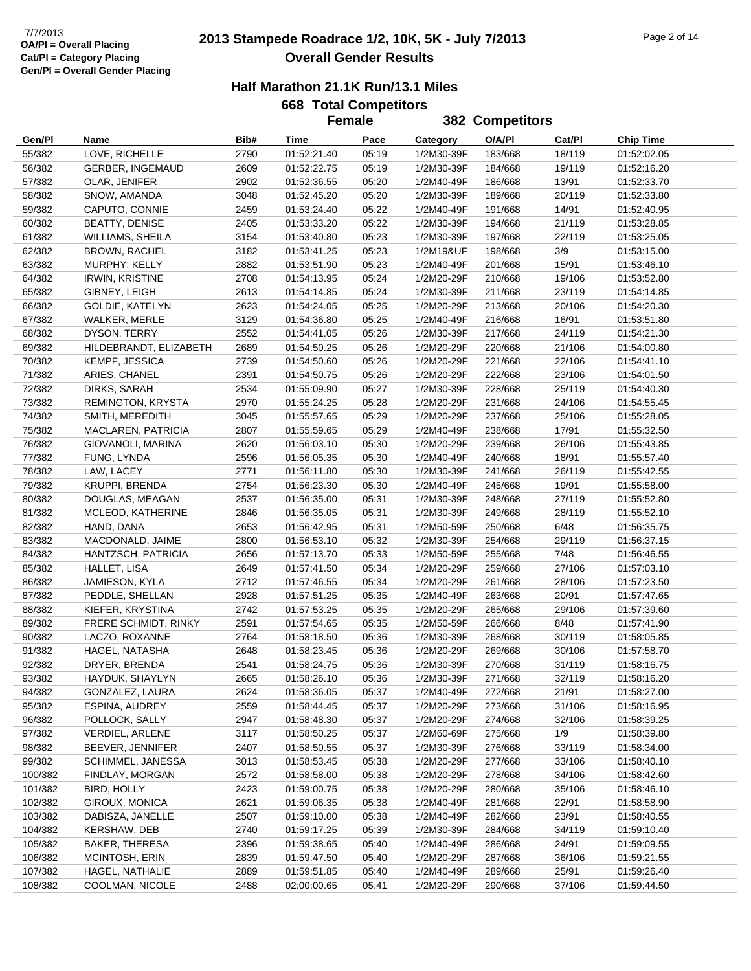## **2013 Stampede Roadrace 1/2, 10K, 5K - July 7/2013** 7/7/2013 Page 2 of 14 **Overall Gender Results**

### **Half Marathon 21.1K Run/13.1 Miles**

|         |                         |      |             | <b>Female</b> |            | 382 Competitors |        |                  |
|---------|-------------------------|------|-------------|---------------|------------|-----------------|--------|------------------|
| Gen/PI  | Name                    | Bib# | Time        | Pace          | Category   | O/A/PI          | Cat/PI | <b>Chip Time</b> |
| 55/382  | LOVE, RICHELLE          | 2790 | 01:52:21.40 | 05:19         | 1/2M30-39F | 183/668         | 18/119 | 01:52:02.05      |
| 56/382  | <b>GERBER, INGEMAUD</b> | 2609 | 01:52:22.75 | 05:19         | 1/2M30-39F | 184/668         | 19/119 | 01:52:16.20      |
| 57/382  | OLAR, JENIFER           | 2902 | 01:52:36.55 | 05:20         | 1/2M40-49F | 186/668         | 13/91  | 01:52:33.70      |
| 58/382  | SNOW, AMANDA            | 3048 | 01:52:45.20 | 05:20         | 1/2M30-39F | 189/668         | 20/119 | 01:52:33.80      |
| 59/382  | CAPUTO, CONNIE          | 2459 | 01:53:24.40 | 05:22         | 1/2M40-49F | 191/668         | 14/91  | 01:52:40.95      |
| 60/382  | <b>BEATTY, DENISE</b>   | 2405 | 01:53:33.20 | 05:22         | 1/2M30-39F | 194/668         | 21/119 | 01:53:28.85      |
| 61/382  | WILLIAMS, SHEILA        | 3154 | 01:53:40.80 | 05:23         | 1/2M30-39F | 197/668         | 22/119 | 01:53:25.05      |
| 62/382  | <b>BROWN, RACHEL</b>    | 3182 | 01:53:41.25 | 05:23         | 1/2M19&UF  | 198/668         | 3/9    | 01:53:15.00      |
| 63/382  | MURPHY, KELLY           | 2882 | 01:53:51.90 | 05:23         | 1/2M40-49F | 201/668         | 15/91  | 01:53:46.10      |
| 64/382  | <b>IRWIN, KRISTINE</b>  | 2708 | 01:54:13.95 | 05:24         | 1/2M20-29F | 210/668         | 19/106 | 01:53:52.80      |
| 65/382  | GIBNEY, LEIGH           | 2613 | 01:54:14.85 | 05:24         | 1/2M30-39F | 211/668         | 23/119 | 01:54:14.85      |
| 66/382  | GOLDIE, KATELYN         | 2623 | 01:54:24.05 | 05:25         | 1/2M20-29F | 213/668         | 20/106 | 01:54:20.30      |
| 67/382  | WALKER, MERLE           | 3129 | 01:54:36.80 | 05:25         | 1/2M40-49F | 216/668         | 16/91  | 01:53:51.80      |
| 68/382  | DYSON, TERRY            | 2552 | 01:54:41.05 | 05:26         | 1/2M30-39F | 217/668         | 24/119 | 01:54:21.30      |
| 69/382  | HILDEBRANDT, ELIZABETH  | 2689 | 01:54:50.25 | 05:26         | 1/2M20-29F | 220/668         | 21/106 | 01:54:00.80      |
| 70/382  | KEMPF, JESSICA          | 2739 | 01:54:50.60 | 05:26         | 1/2M20-29F | 221/668         | 22/106 | 01:54:41.10      |
| 71/382  | ARIES, CHANEL           | 2391 | 01:54:50.75 | 05:26         | 1/2M20-29F | 222/668         | 23/106 | 01:54:01.50      |
| 72/382  | DIRKS, SARAH            | 2534 | 01:55:09.90 | 05:27         | 1/2M30-39F | 228/668         | 25/119 | 01:54:40.30      |
| 73/382  | REMINGTON, KRYSTA       | 2970 | 01:55:24.25 | 05:28         | 1/2M20-29F | 231/668         | 24/106 | 01:54:55.45      |
| 74/382  | SMITH, MEREDITH         | 3045 | 01:55:57.65 | 05:29         | 1/2M20-29F | 237/668         | 25/106 | 01:55:28.05      |
| 75/382  | MACLAREN, PATRICIA      | 2807 | 01:55:59.65 | 05:29         | 1/2M40-49F | 238/668         | 17/91  | 01:55:32.50      |
| 76/382  | GIOVANOLI, MARINA       | 2620 | 01:56:03.10 | 05:30         | 1/2M20-29F | 239/668         | 26/106 | 01:55:43.85      |
| 77/382  | FUNG, LYNDA             | 2596 | 01:56:05.35 | 05:30         | 1/2M40-49F | 240/668         | 18/91  | 01:55:57.40      |
| 78/382  | LAW, LACEY              | 2771 | 01:56:11.80 | 05:30         | 1/2M30-39F | 241/668         | 26/119 | 01:55:42.55      |
| 79/382  | <b>KRUPPI, BRENDA</b>   | 2754 | 01:56:23.30 | 05:30         | 1/2M40-49F | 245/668         | 19/91  | 01:55:58.00      |
| 80/382  | DOUGLAS, MEAGAN         | 2537 | 01:56:35.00 | 05:31         | 1/2M30-39F | 248/668         | 27/119 | 01:55:52.80      |
| 81/382  | MCLEOD, KATHERINE       | 2846 | 01:56:35.05 | 05:31         | 1/2M30-39F | 249/668         | 28/119 | 01:55:52.10      |
| 82/382  | HAND, DANA              | 2653 | 01:56:42.95 | 05:31         | 1/2M50-59F | 250/668         | 6/48   | 01:56:35.75      |
| 83/382  | MACDONALD, JAIME        | 2800 | 01:56:53.10 | 05:32         | 1/2M30-39F | 254/668         | 29/119 | 01:56:37.15      |
| 84/382  | HANTZSCH, PATRICIA      | 2656 | 01:57:13.70 | 05:33         | 1/2M50-59F | 255/668         | 7/48   | 01:56:46.55      |
| 85/382  | HALLET, LISA            | 2649 | 01:57:41.50 | 05:34         | 1/2M20-29F | 259/668         | 27/106 | 01:57:03.10      |
| 86/382  | JAMIESON, KYLA          | 2712 | 01:57:46.55 | 05:34         | 1/2M20-29F | 261/668         | 28/106 | 01:57:23.50      |
| 87/382  | PEDDLE, SHELLAN         | 2928 | 01:57:51.25 | 05:35         | 1/2M40-49F | 263/668         | 20/91  | 01:57:47.65      |
| 88/382  | KIEFER, KRYSTINA        | 2742 | 01:57:53.25 | 05:35         | 1/2M20-29F | 265/668         | 29/106 | 01:57:39.60      |
| 89/382  | FRERE SCHMIDT, RINKY    | 2591 | 01:57:54.65 | 05:35         | 1/2M50-59F | 266/668         | 8/48   | 01:57:41.90      |
| 90/382  | LACZO, ROXANNE          | 2764 | 01:58:18.50 | 05:36         | 1/2M30-39F | 268/668         | 30/119 | 01:58:05.85      |
| 91/382  | HAGEL, NATASHA          | 2648 | 01:58:23.45 | 05:36         | 1/2M20-29F | 269/668         | 30/106 | 01:57:58.70      |
| 92/382  | DRYER, BRENDA           | 2541 | 01:58:24.75 | 05:36         | 1/2M30-39F | 270/668         | 31/119 | 01:58:16.75      |
| 93/382  | HAYDUK, SHAYLYN         | 2665 | 01:58:26.10 | 05:36         | 1/2M30-39F | 271/668         | 32/119 | 01:58:16.20      |
| 94/382  | GONZALEZ, LAURA         | 2624 | 01:58:36.05 | 05:37         | 1/2M40-49F | 272/668         | 21/91  | 01:58:27.00      |
| 95/382  | ESPINA, AUDREY          | 2559 | 01:58:44.45 | 05:37         | 1/2M20-29F | 273/668         | 31/106 | 01:58:16.95      |
| 96/382  | POLLOCK, SALLY          | 2947 | 01:58:48.30 | 05:37         | 1/2M20-29F | 274/668         | 32/106 | 01:58:39.25      |
| 97/382  | VERDIEL, ARLENE         | 3117 | 01:58:50.25 | 05:37         | 1/2M60-69F | 275/668         | 1/9    | 01:58:39.80      |
| 98/382  | BEEVER, JENNIFER        | 2407 | 01:58:50.55 | 05:37         | 1/2M30-39F | 276/668         | 33/119 | 01:58:34.00      |
| 99/382  | SCHIMMEL, JANESSA       | 3013 | 01:58:53.45 | 05:38         | 1/2M20-29F | 277/668         | 33/106 | 01:58:40.10      |
| 100/382 | FINDLAY, MORGAN         | 2572 | 01:58:58.00 | 05:38         | 1/2M20-29F | 278/668         | 34/106 | 01:58:42.60      |
| 101/382 | <b>BIRD, HOLLY</b>      | 2423 | 01:59:00.75 | 05:38         | 1/2M20-29F | 280/668         | 35/106 | 01:58:46.10      |
| 102/382 | GIROUX, MONICA          | 2621 | 01:59:06.35 | 05:38         | 1/2M40-49F | 281/668         | 22/91  | 01:58:58.90      |
| 103/382 | DABISZA, JANELLE        | 2507 | 01:59:10.00 | 05:38         | 1/2M40-49F | 282/668         | 23/91  | 01:58:40.55      |
| 104/382 | <b>KERSHAW, DEB</b>     | 2740 | 01:59:17.25 | 05:39         | 1/2M30-39F | 284/668         | 34/119 | 01:59:10.40      |
| 105/382 | <b>BAKER, THERESA</b>   | 2396 | 01:59:38.65 | 05:40         | 1/2M40-49F | 286/668         | 24/91  | 01:59:09.55      |
| 106/382 | MCINTOSH, ERIN          | 2839 | 01:59:47.50 | 05:40         | 1/2M20-29F | 287/668         | 36/106 | 01:59:21.55      |
| 107/382 | HAGEL, NATHALIE         | 2889 | 01:59:51.85 | 05:40         | 1/2M40-49F | 289/668         | 25/91  | 01:59:26.40      |
| 108/382 | COOLMAN, NICOLE         | 2488 | 02:00:00.65 | 05:41         | 1/2M20-29F | 290/668         | 37/106 | 01:59:44.50      |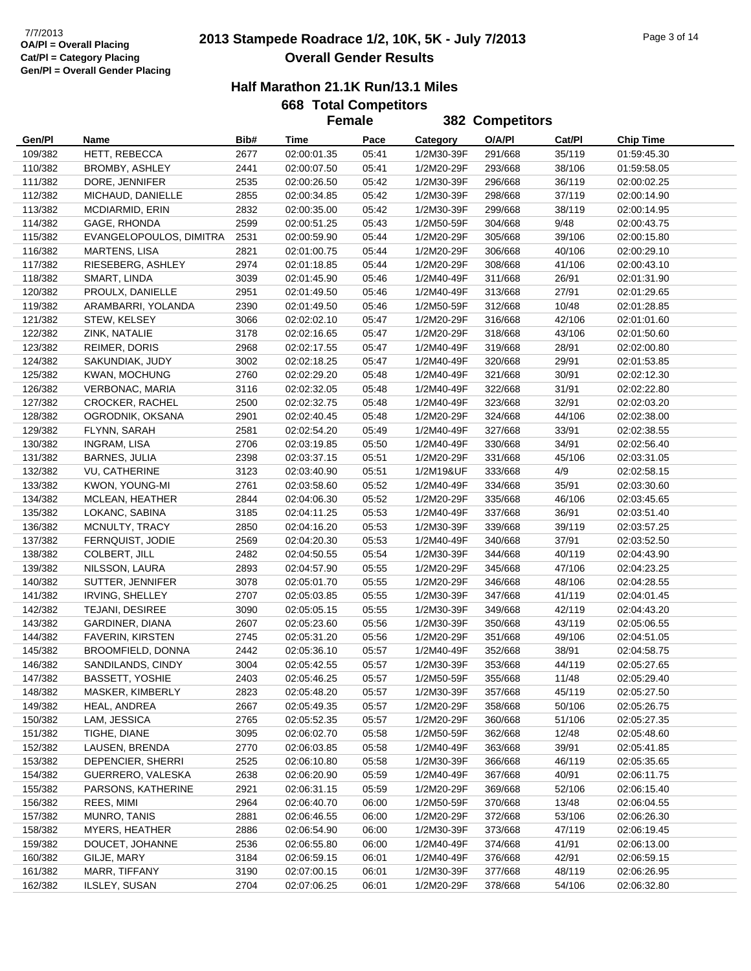## **2013 Stampede Roadrace 1/2, 10K, 5K - July 7/2013** 7/7/2013 Page 3 of 14 **Overall Gender Results**

| <b>668 Total Competitors</b> |
|------------------------------|
| Female                       |

|         |                         |      | <b>Female</b> |       |            | 382 Competitors |        |                  |
|---------|-------------------------|------|---------------|-------|------------|-----------------|--------|------------------|
| Gen/Pl  | Name                    | Bib# | Time          | Pace  | Category   | O/A/PI          | Cat/PI | <b>Chip Time</b> |
| 109/382 | HETT, REBECCA           | 2677 | 02:00:01.35   | 05:41 | 1/2M30-39F | 291/668         | 35/119 | 01:59:45.30      |
| 110/382 | BROMBY, ASHLEY          | 2441 | 02:00:07.50   | 05:41 | 1/2M20-29F | 293/668         | 38/106 | 01:59:58.05      |
| 111/382 | DORE, JENNIFER          | 2535 | 02:00:26.50   | 05:42 | 1/2M30-39F | 296/668         | 36/119 | 02:00:02.25      |
| 112/382 | MICHAUD, DANIELLE       | 2855 | 02:00:34.85   | 05:42 | 1/2M30-39F | 298/668         | 37/119 | 02:00:14.90      |
| 113/382 | MCDIARMID, ERIN         | 2832 | 02:00:35.00   | 05:42 | 1/2M30-39F | 299/668         | 38/119 | 02:00:14.95      |
| 114/382 | GAGE, RHONDA            | 2599 | 02:00:51.25   | 05:43 | 1/2M50-59F | 304/668         | 9/48   | 02:00:43.75      |
| 115/382 | EVANGELOPOULOS, DIMITRA | 2531 | 02:00:59.90   | 05:44 | 1/2M20-29F | 305/668         | 39/106 | 02:00:15.80      |
| 116/382 | <b>MARTENS, LISA</b>    | 2821 | 02:01:00.75   | 05:44 | 1/2M20-29F | 306/668         | 40/106 | 02:00:29.10      |
| 117/382 | RIESEBERG, ASHLEY       | 2974 | 02:01:18.85   | 05:44 | 1/2M20-29F | 308/668         | 41/106 | 02:00:43.10      |
| 118/382 | SMART, LINDA            | 3039 | 02:01:45.90   | 05:46 | 1/2M40-49F | 311/668         | 26/91  | 02:01:31.90      |
| 120/382 | PROULX, DANIELLE        | 2951 | 02:01:49.50   | 05:46 | 1/2M40-49F | 313/668         | 27/91  | 02:01:29.65      |
| 119/382 | ARAMBARRI, YOLANDA      | 2390 | 02:01:49.50   | 05:46 | 1/2M50-59F | 312/668         | 10/48  | 02:01:28.85      |
| 121/382 | STEW, KELSEY            | 3066 | 02:02:02.10   | 05:47 | 1/2M20-29F | 316/668         | 42/106 | 02:01:01.60      |
| 122/382 | ZINK, NATALIE           | 3178 | 02:02:16.65   | 05:47 | 1/2M20-29F | 318/668         | 43/106 | 02:01:50.60      |
| 123/382 | REIMER, DORIS           | 2968 | 02:02:17.55   | 05:47 | 1/2M40-49F | 319/668         | 28/91  | 02:02:00.80      |
| 124/382 | SAKUNDIAK, JUDY         | 3002 | 02:02:18.25   | 05:47 | 1/2M40-49F | 320/668         | 29/91  | 02:01:53.85      |
| 125/382 | KWAN, MOCHUNG           | 2760 | 02:02:29.20   | 05:48 | 1/2M40-49F | 321/668         | 30/91  | 02:02:12.30      |
| 126/382 | VERBONAC, MARIA         | 3116 | 02:02:32.05   | 05:48 | 1/2M40-49F | 322/668         | 31/91  | 02:02:22.80      |
| 127/382 | <b>CROCKER, RACHEL</b>  | 2500 | 02:02:32.75   | 05:48 | 1/2M40-49F | 323/668         | 32/91  | 02:02:03.20      |
| 128/382 | OGRODNIK, OKSANA        | 2901 | 02:02:40.45   | 05:48 | 1/2M20-29F | 324/668         | 44/106 | 02:02:38.00      |
| 129/382 | FLYNN, SARAH            | 2581 | 02:02:54.20   | 05:49 | 1/2M40-49F | 327/668         | 33/91  | 02:02:38.55      |
| 130/382 | <b>INGRAM, LISA</b>     | 2706 | 02:03:19.85   | 05:50 | 1/2M40-49F | 330/668         | 34/91  | 02:02:56.40      |
| 131/382 | <b>BARNES, JULIA</b>    | 2398 | 02:03:37.15   | 05:51 | 1/2M20-29F | 331/668         | 45/106 | 02:03:31.05      |
| 132/382 | VU, CATHERINE           | 3123 | 02:03:40.90   | 05:51 | 1/2M19&UF  | 333/668         | 4/9    | 02:02:58.15      |
| 133/382 | KWON, YOUNG-MI          | 2761 | 02:03:58.60   | 05:52 | 1/2M40-49F | 334/668         | 35/91  | 02:03:30.60      |
| 134/382 | MCLEAN, HEATHER         | 2844 | 02:04:06.30   | 05:52 | 1/2M20-29F | 335/668         | 46/106 | 02:03:45.65      |
| 135/382 | LOKANC, SABINA          | 3185 | 02:04:11.25   | 05:53 | 1/2M40-49F | 337/668         | 36/91  | 02:03:51.40      |
| 136/382 | MCNULTY, TRACY          | 2850 | 02:04:16.20   | 05:53 | 1/2M30-39F | 339/668         | 39/119 | 02:03:57.25      |
| 137/382 | FERNQUIST, JODIE        | 2569 | 02:04:20.30   | 05:53 | 1/2M40-49F | 340/668         | 37/91  | 02:03:52.50      |
| 138/382 | <b>COLBERT, JILL</b>    | 2482 | 02:04:50.55   | 05:54 | 1/2M30-39F | 344/668         | 40/119 | 02:04:43.90      |
| 139/382 | NILSSON, LAURA          | 2893 | 02:04:57.90   | 05:55 | 1/2M20-29F | 345/668         | 47/106 | 02:04:23.25      |
| 140/382 | SUTTER, JENNIFER        | 3078 | 02:05:01.70   | 05:55 | 1/2M20-29F | 346/668         | 48/106 | 02:04:28.55      |
| 141/382 | <b>IRVING, SHELLEY</b>  | 2707 | 02:05:03.85   | 05:55 | 1/2M30-39F | 347/668         | 41/119 | 02:04:01.45      |
| 142/382 | TEJANI, DESIREE         | 3090 | 02:05:05.15   | 05:55 | 1/2M30-39F | 349/668         | 42/119 | 02:04:43.20      |
| 143/382 | GARDINER, DIANA         | 2607 | 02:05:23.60   | 05:56 | 1/2M30-39F | 350/668         | 43/119 | 02:05:06.55      |
| 144/382 | <b>FAVERIN, KIRSTEN</b> | 2745 | 02:05:31.20   | 05:56 | 1/2M20-29F | 351/668         | 49/106 | 02:04:51.05      |
| 145/382 | BROOMFIELD, DONNA       | 2442 | 02:05:36.10   | 05:57 | 1/2M40-49F | 352/668         | 38/91  | 02:04:58.75      |
| 146/382 | SANDILANDS, CINDY       | 3004 | 02:05:42.55   | 05:57 | 1/2M30-39F | 353/668         | 44/119 | 02:05:27.65      |
| 147/382 | <b>BASSETT, YOSHIE</b>  | 2403 | 02:05:46.25   | 05:57 | 1/2M50-59F | 355/668         | 11/48  | 02:05:29.40      |
| 148/382 | MASKER, KIMBERLY        | 2823 | 02:05:48.20   | 05:57 | 1/2M30-39F | 357/668         | 45/119 | 02:05:27.50      |
| 149/382 | HEAL, ANDREA            | 2667 | 02:05:49.35   | 05:57 | 1/2M20-29F | 358/668         | 50/106 | 02:05:26.75      |
| 150/382 | LAM, JESSICA            | 2765 | 02:05:52.35   | 05:57 | 1/2M20-29F | 360/668         | 51/106 | 02:05:27.35      |
| 151/382 | TIGHE, DIANE            | 3095 | 02:06:02.70   | 05:58 | 1/2M50-59F | 362/668         | 12/48  | 02:05:48.60      |
| 152/382 | LAUSEN, BRENDA          | 2770 | 02:06:03.85   | 05:58 | 1/2M40-49F | 363/668         | 39/91  | 02:05:41.85      |
| 153/382 | DEPENCIER, SHERRI       | 2525 | 02:06:10.80   | 05:58 | 1/2M30-39F | 366/668         | 46/119 | 02:05:35.65      |
| 154/382 | GUERRERO, VALESKA       | 2638 | 02:06:20.90   | 05:59 | 1/2M40-49F | 367/668         | 40/91  | 02:06:11.75      |
| 155/382 | PARSONS, KATHERINE      | 2921 | 02:06:31.15   | 05:59 | 1/2M20-29F | 369/668         | 52/106 | 02:06:15.40      |
| 156/382 | REES, MIMI              | 2964 | 02:06:40.70   | 06:00 | 1/2M50-59F | 370/668         | 13/48  | 02:06:04.55      |
| 157/382 | MUNRO, TANIS            | 2881 | 02:06:46.55   | 06:00 | 1/2M20-29F | 372/668         | 53/106 | 02:06:26.30      |
| 158/382 | <b>MYERS, HEATHER</b>   | 2886 | 02:06:54.90   | 06:00 | 1/2M30-39F | 373/668         | 47/119 | 02:06:19.45      |
| 159/382 | DOUCET, JOHANNE         | 2536 | 02:06:55.80   | 06:00 | 1/2M40-49F | 374/668         | 41/91  | 02:06:13.00      |
| 160/382 | GILJE, MARY             | 3184 | 02:06:59.15   | 06:01 | 1/2M40-49F | 376/668         | 42/91  | 02:06:59.15      |
| 161/382 | MARR, TIFFANY           | 3190 | 02:07:00.15   | 06:01 | 1/2M30-39F | 377/668         | 48/119 | 02:06:26.95      |
| 162/382 | ILSLEY, SUSAN           | 2704 | 02:07:06.25   | 06:01 | 1/2M20-29F | 378/668         | 54/106 | 02:06:32.80      |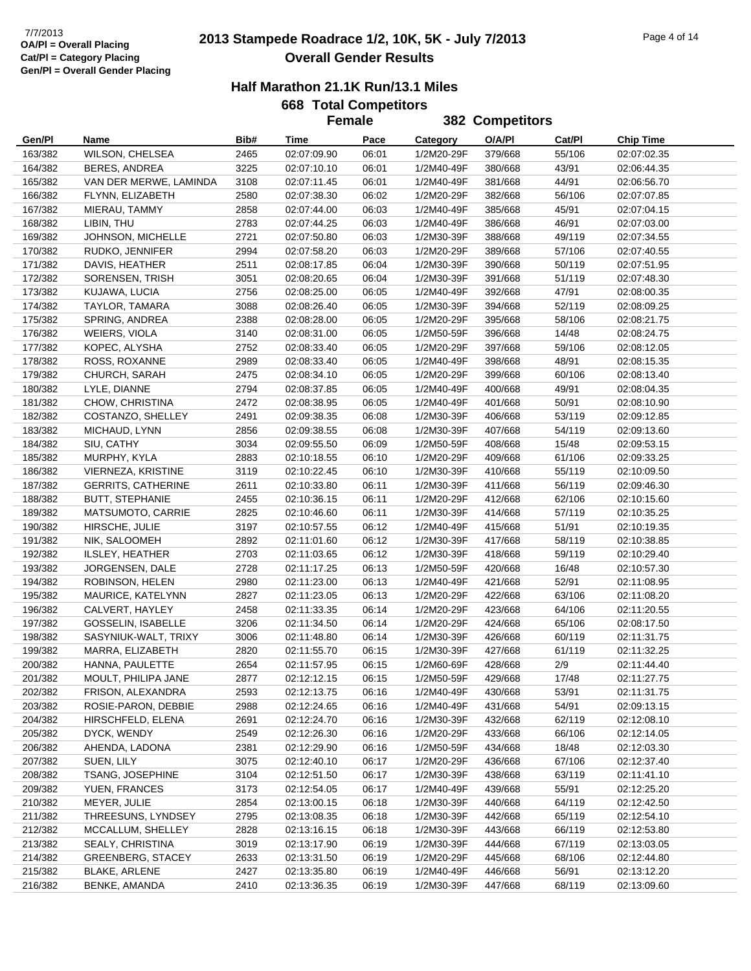## **2013 Stampede Roadrace 1/2, 10K, 5K - July 7/2013** 7/7/2013 Page 4 of 14 **Overall Gender Results**

|         |                           |      | <b>Female</b> |       |            | 382 Competitors |        |                  |
|---------|---------------------------|------|---------------|-------|------------|-----------------|--------|------------------|
| Gen/Pl  | Name                      | Bib# | Time          | Pace  | Category   | O/A/PI          | Cat/PI | <b>Chip Time</b> |
| 163/382 | WILSON, CHELSEA           | 2465 | 02:07:09.90   | 06:01 | 1/2M20-29F | 379/668         | 55/106 | 02:07:02.35      |
| 164/382 | <b>BERES, ANDREA</b>      | 3225 | 02:07:10.10   | 06:01 | 1/2M40-49F | 380/668         | 43/91  | 02:06:44.35      |
| 165/382 | VAN DER MERWE, LAMINDA    | 3108 | 02:07:11.45   | 06:01 | 1/2M40-49F | 381/668         | 44/91  | 02:06:56.70      |
| 166/382 | FLYNN, ELIZABETH          | 2580 | 02:07:38.30   | 06:02 | 1/2M20-29F | 382/668         | 56/106 | 02:07:07.85      |
| 167/382 | MIERAU, TAMMY             | 2858 | 02:07:44.00   | 06:03 | 1/2M40-49F | 385/668         | 45/91  | 02:07:04.15      |
| 168/382 | LIBIN, THU                | 2783 | 02:07:44.25   | 06:03 | 1/2M40-49F | 386/668         | 46/91  | 02:07:03.00      |
| 169/382 | JOHNSON, MICHELLE         | 2721 | 02:07:50.80   | 06:03 | 1/2M30-39F | 388/668         | 49/119 | 02:07:34.55      |
| 170/382 | RUDKO, JENNIFER           | 2994 | 02:07:58.20   | 06:03 | 1/2M20-29F | 389/668         | 57/106 | 02:07:40.55      |
| 171/382 | DAVIS, HEATHER            | 2511 | 02:08:17.85   | 06:04 | 1/2M30-39F | 390/668         | 50/119 | 02:07:51.95      |
| 172/382 | SORENSEN, TRISH           | 3051 | 02:08:20.65   | 06:04 | 1/2M30-39F | 391/668         | 51/119 | 02:07:48.30      |
| 173/382 | KUJAWA, LUCIA             | 2756 | 02:08:25.00   | 06:05 | 1/2M40-49F | 392/668         | 47/91  | 02:08:00.35      |
| 174/382 | TAYLOR, TAMARA            | 3088 | 02:08:26.40   | 06:05 | 1/2M30-39F | 394/668         | 52/119 | 02:08:09.25      |
| 175/382 | SPRING, ANDREA            | 2388 | 02:08:28.00   | 06:05 | 1/2M20-29F | 395/668         | 58/106 | 02:08:21.75      |
| 176/382 | WEIERS, VIOLA             | 3140 | 02:08:31.00   | 06:05 | 1/2M50-59F | 396/668         | 14/48  | 02:08:24.75      |
| 177/382 | KOPEC, ALYSHA             | 2752 | 02:08:33.40   | 06:05 | 1/2M20-29F | 397/668         | 59/106 | 02:08:12.05      |
| 178/382 | ROSS, ROXANNE             | 2989 | 02:08:33.40   | 06:05 | 1/2M40-49F | 398/668         | 48/91  | 02:08:15.35      |
| 179/382 | CHURCH, SARAH             | 2475 | 02:08:34.10   | 06:05 | 1/2M20-29F | 399/668         | 60/106 | 02:08:13.40      |
| 180/382 | LYLE, DIANNE              | 2794 | 02:08:37.85   | 06:05 | 1/2M40-49F | 400/668         | 49/91  | 02:08:04.35      |
| 181/382 | CHOW, CHRISTINA           | 2472 | 02:08:38.95   | 06:05 | 1/2M40-49F | 401/668         | 50/91  | 02:08:10.90      |
| 182/382 | COSTANZO, SHELLEY         | 2491 | 02:09:38.35   | 06:08 | 1/2M30-39F | 406/668         | 53/119 | 02:09:12.85      |
| 183/382 | MICHAUD, LYNN             | 2856 | 02:09:38.55   | 06:08 | 1/2M30-39F | 407/668         | 54/119 | 02:09:13.60      |
| 184/382 | SIU, CATHY                | 3034 | 02:09:55.50   | 06:09 | 1/2M50-59F | 408/668         | 15/48  | 02:09:53.15      |
| 185/382 | MURPHY, KYLA              | 2883 | 02:10:18.55   | 06:10 | 1/2M20-29F | 409/668         | 61/106 | 02:09:33.25      |
| 186/382 | VIERNEZA, KRISTINE        | 3119 | 02:10:22.45   | 06:10 | 1/2M30-39F | 410/668         | 55/119 | 02:10:09.50      |
| 187/382 | <b>GERRITS, CATHERINE</b> | 2611 | 02:10:33.80   | 06:11 | 1/2M30-39F | 411/668         | 56/119 | 02:09:46.30      |
| 188/382 | <b>BUTT, STEPHANIE</b>    | 2455 | 02:10:36.15   | 06:11 | 1/2M20-29F | 412/668         | 62/106 | 02:10:15.60      |
| 189/382 | MATSUMOTO, CARRIE         | 2825 | 02:10:46.60   | 06:11 | 1/2M30-39F | 414/668         | 57/119 | 02:10:35.25      |
| 190/382 | HIRSCHE, JULIE            | 3197 | 02:10:57.55   | 06:12 | 1/2M40-49F | 415/668         | 51/91  | 02:10:19.35      |
| 191/382 | NIK, SALOOMEH             | 2892 | 02:11:01.60   | 06:12 | 1/2M30-39F | 417/668         | 58/119 | 02:10:38.85      |
| 192/382 | ILSLEY, HEATHER           | 2703 | 02:11:03.65   | 06:12 | 1/2M30-39F | 418/668         | 59/119 | 02:10:29.40      |
| 193/382 | JORGENSEN, DALE           | 2728 | 02:11:17.25   | 06:13 | 1/2M50-59F | 420/668         | 16/48  | 02:10:57.30      |
| 194/382 | ROBINSON, HELEN           | 2980 | 02:11:23.00   | 06:13 | 1/2M40-49F | 421/668         | 52/91  | 02:11:08.95      |
| 195/382 | MAURICE, KATELYNN         | 2827 | 02:11:23.05   | 06:13 | 1/2M20-29F | 422/668         | 63/106 | 02:11:08.20      |
| 196/382 | CALVERT, HAYLEY           | 2458 | 02:11:33.35   | 06:14 | 1/2M20-29F | 423/668         | 64/106 | 02:11:20.55      |
| 197/382 | GOSSELIN, ISABELLE        | 3206 | 02:11:34.50   | 06:14 | 1/2M20-29F | 424/668         | 65/106 | 02:08:17.50      |
| 198/382 | SASYNIUK-WALT, TRIXY      | 3006 | 02:11:48.80   | 06:14 | 1/2M30-39F | 426/668         | 60/119 | 02:11:31.75      |
| 199/382 | MARRA, ELIZABETH          | 2820 | 02:11:55.70   | 06:15 | 1/2M30-39F | 427/668         | 61/119 | 02:11:32.25      |
| 200/382 | HANNA, PAULETTE           | 2654 | 02:11:57.95   | 06:15 | 1/2M60-69F | 428/668         | 2/9    | 02:11:44.40      |
| 201/382 | MOULT, PHILIPA JANE       | 2877 | 02:12:12.15   | 06:15 | 1/2M50-59F | 429/668         | 17/48  | 02:11:27.75      |
| 202/382 | FRISON, ALEXANDRA         | 2593 | 02:12:13.75   | 06:16 | 1/2M40-49F | 430/668         | 53/91  | 02:11:31.75      |
| 203/382 | ROSIE-PARON, DEBBIE       | 2988 | 02:12:24.65   | 06:16 | 1/2M40-49F | 431/668         | 54/91  | 02:09:13.15      |
| 204/382 | HIRSCHFELD, ELENA         | 2691 | 02:12:24.70   | 06:16 | 1/2M30-39F | 432/668         | 62/119 | 02:12:08.10      |
| 205/382 | DYCK, WENDY               | 2549 | 02:12:26.30   | 06:16 | 1/2M20-29F | 433/668         | 66/106 | 02:12:14.05      |
| 206/382 | AHENDA, LADONA            | 2381 | 02:12:29.90   | 06:16 | 1/2M50-59F | 434/668         | 18/48  | 02:12:03.30      |
| 207/382 | SUEN, LILY                | 3075 | 02:12:40.10   | 06:17 | 1/2M20-29F | 436/668         | 67/106 | 02:12:37.40      |
| 208/382 | TSANG, JOSEPHINE          | 3104 | 02:12:51.50   | 06:17 | 1/2M30-39F | 438/668         | 63/119 | 02:11:41.10      |
| 209/382 | YUEN, FRANCES             | 3173 | 02:12:54.05   | 06:17 | 1/2M40-49F | 439/668         | 55/91  | 02:12:25.20      |
| 210/382 | MEYER, JULIE              | 2854 | 02:13:00.15   | 06:18 | 1/2M30-39F | 440/668         | 64/119 | 02:12:42.50      |
| 211/382 | THREESUNS, LYNDSEY        | 2795 | 02:13:08.35   | 06:18 | 1/2M30-39F | 442/668         | 65/119 | 02:12:54.10      |
| 212/382 | MCCALLUM, SHELLEY         | 2828 | 02:13:16.15   | 06:18 | 1/2M30-39F | 443/668         | 66/119 | 02:12:53.80      |
| 213/382 | SEALY, CHRISTINA          | 3019 | 02:13:17.90   | 06:19 | 1/2M30-39F | 444/668         | 67/119 | 02:13:03.05      |
| 214/382 | <b>GREENBERG, STACEY</b>  | 2633 | 02:13:31.50   | 06:19 | 1/2M20-29F | 445/668         | 68/106 | 02:12:44.80      |
| 215/382 | <b>BLAKE, ARLENE</b>      | 2427 | 02:13:35.80   | 06:19 | 1/2M40-49F | 446/668         | 56/91  | 02:13:12.20      |
| 216/382 | BENKE, AMANDA             | 2410 | 02:13:36.35   | 06:19 | 1/2M30-39F | 447/668         | 68/119 | 02:13:09.60      |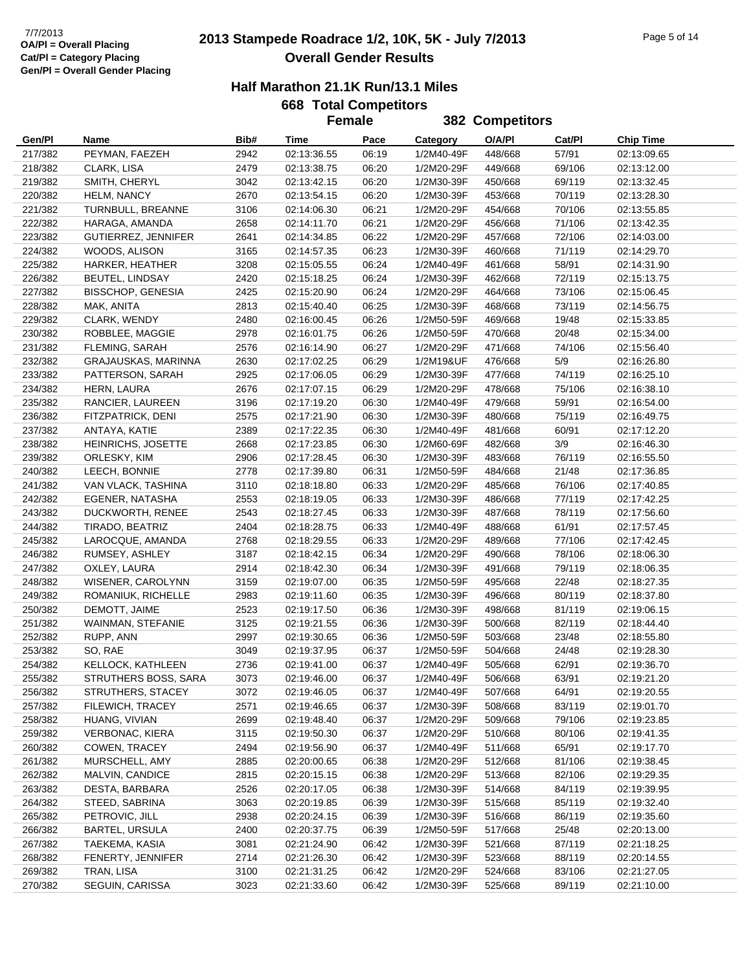## **2013 Stampede Roadrace 1/2, 10K, 5K - July 7/2013** 7/7/2013 Page 5 of 14 **Overall Gender Results**

|  | 668 Total Competitors |  |
|--|-----------------------|--|
|  | Eamala                |  |

|                    |                                   |              |                            | <b>Female</b>  |                          | 382 Competitors    |                  |                            |
|--------------------|-----------------------------------|--------------|----------------------------|----------------|--------------------------|--------------------|------------------|----------------------------|
| Gen/Pl             | Name                              | Bib#         | Time                       | Pace           | Category                 | O/A/PI             | Cat/Pl           | <b>Chip Time</b>           |
| 217/382            | PEYMAN, FAEZEH                    | 2942         | 02:13:36.55                | 06:19          | 1/2M40-49F               | 448/668            | 57/91            | 02:13:09.65                |
| 218/382            | CLARK, LISA                       | 2479         | 02:13:38.75                | 06:20          | 1/2M20-29F               | 449/668            | 69/106           | 02:13:12.00                |
| 219/382            | SMITH, CHERYL                     | 3042         | 02:13:42.15                | 06:20          | 1/2M30-39F               | 450/668            | 69/119           | 02:13:32.45                |
| 220/382            | <b>HELM, NANCY</b>                | 2670         | 02:13:54.15                | 06:20          | 1/2M30-39F               | 453/668            | 70/119           | 02:13:28.30                |
| 221/382            | TURNBULL, BREANNE                 | 3106         | 02:14:06.30                | 06:21          | 1/2M20-29F               | 454/668            | 70/106           | 02:13:55.85                |
| 222/382            | HARAGA, AMANDA                    | 2658         | 02:14:11.70                | 06:21          | 1/2M20-29F               | 456/668            | 71/106           | 02:13:42.35                |
| 223/382            | GUTIERREZ, JENNIFER               | 2641         | 02:14:34.85                | 06:22          | 1/2M20-29F               | 457/668            | 72/106           | 02:14:03.00                |
| 224/382            | WOODS, ALISON                     | 3165         | 02:14:57.35                | 06:23          | 1/2M30-39F               | 460/668            | 71/119           | 02:14:29.70                |
| 225/382            | HARKER, HEATHER                   | 3208         | 02:15:05.55                | 06:24          | 1/2M40-49F               | 461/668            | 58/91            | 02:14:31.90                |
| 226/382            | <b>BEUTEL, LINDSAY</b>            | 2420         | 02:15:18.25                | 06:24          | 1/2M30-39F               | 462/668            | 72/119           | 02:15:13.75                |
| 227/382            | <b>BISSCHOP, GENESIA</b>          | 2425         | 02:15:20.90                | 06:24          | 1/2M20-29F               | 464/668            | 73/106           | 02:15:06.45                |
| 228/382            | MAK, ANITA                        | 2813         | 02:15:40.40                | 06:25          | 1/2M30-39F               | 468/668            | 73/119           | 02:14:56.75                |
| 229/382            | CLARK, WENDY                      | 2480         | 02:16:00.45                | 06:26          | 1/2M50-59F               | 469/668            | 19/48            | 02:15:33.85                |
| 230/382            | ROBBLEE, MAGGIE                   | 2978         | 02:16:01.75                | 06:26          | 1/2M50-59F               | 470/668            | 20/48            | 02:15:34.00                |
| 231/382            | FLEMING, SARAH                    | 2576         | 02:16:14.90                | 06:27          | 1/2M20-29F               | 471/668            | 74/106           | 02:15:56.40                |
| 232/382            | GRAJAUSKAS, MARINNA               | 2630         | 02:17:02.25                | 06:29          | 1/2M19&UF                | 476/668            | $5/9$            | 02:16:26.80                |
| 233/382            | PATTERSON, SARAH                  | 2925         | 02:17:06.05                | 06:29          | 1/2M30-39F               | 477/668            | 74/119           | 02:16:25.10                |
| 234/382            | HERN, LAURA                       | 2676         | 02:17:07.15                | 06:29          | 1/2M20-29F               | 478/668            | 75/106           | 02:16:38.10                |
| 235/382            | RANCIER, LAUREEN                  | 3196         | 02:17:19.20                | 06:30          | 1/2M40-49F               | 479/668            | 59/91            | 02:16:54.00                |
| 236/382            | FITZPATRICK, DENI                 | 2575         | 02:17:21.90                | 06:30          | 1/2M30-39F               | 480/668            | 75/119           | 02:16:49.75                |
| 237/382            | ANTAYA, KATIE                     | 2389         | 02:17:22.35                | 06:30          | 1/2M40-49F               | 481/668            | 60/91            | 02:17:12.20                |
| 238/382            | HEINRICHS, JOSETTE                | 2668         | 02:17:23.85                | 06:30          | 1/2M60-69F               | 482/668            | 3/9              | 02:16:46.30                |
| 239/382            | ORLESKY, KIM                      | 2906         | 02:17:28.45                | 06:30          | 1/2M30-39F               | 483/668            | 76/119           | 02:16:55.50                |
| 240/382            | LEECH, BONNIE                     | 2778         | 02:17:39.80                | 06:31          | 1/2M50-59F               | 484/668            | 21/48            | 02:17:36.85                |
| 241/382            | VAN VLACK, TASHINA                | 3110         | 02:18:18.80                | 06:33          | 1/2M20-29F               | 485/668            | 76/106           | 02:17:40.85                |
| 242/382            | EGENER, NATASHA                   | 2553         | 02:18:19.05                | 06:33          | 1/2M30-39F               | 486/668            | 77/119           | 02:17:42.25                |
| 243/382            | DUCKWORTH, RENEE                  | 2543         | 02:18:27.45                | 06:33          | 1/2M30-39F               | 487/668            | 78/119           | 02:17:56.60                |
| 244/382            | TIRADO, BEATRIZ                   | 2404         | 02:18:28.75                | 06:33          | 1/2M40-49F               | 488/668            | 61/91            | 02:17:57.45                |
| 245/382            | LAROCQUE, AMANDA                  | 2768         | 02:18:29.55                | 06:33          | 1/2M20-29F               | 489/668            | 77/106           | 02:17:42.45                |
| 246/382            | RUMSEY, ASHLEY                    | 3187         | 02:18:42.15                | 06:34          | 1/2M20-29F               | 490/668            | 78/106           | 02:18:06.30                |
| 247/382            | OXLEY, LAURA                      | 2914         | 02:18:42.30                | 06:34          | 1/2M30-39F               | 491/668            | 79/119           | 02:18:06.35                |
| 248/382            | WISENER, CAROLYNN                 | 3159         | 02:19:07.00                | 06:35          | 1/2M50-59F               | 495/668            | 22/48            | 02:18:27.35                |
| 249/382            | ROMANIUK, RICHELLE                | 2983         | 02:19:11.60                | 06:35          | 1/2M30-39F               | 496/668            | 80/119           | 02:18:37.80                |
| 250/382            | DEMOTT, JAIME                     | 2523         | 02:19:17.50                | 06:36          | 1/2M30-39F               | 498/668            | 81/119           | 02:19:06.15                |
| 251/382            | WAINMAN, STEFANIE                 | 3125         | 02:19:21.55                | 06:36          | 1/2M30-39F               | 500/668            | 82/119           | 02:18:44.40                |
| 252/382            | RUPP, ANN                         | 2997         | 02:19:30.65                | 06:36          | 1/2M50-59F               | 503/668            | 23/48            | 02:18:55.80                |
| 253/382            | SO, RAE                           | 3049         | 02:19:37.95                | 06:37          | 1/2M50-59F               | 504/668            | 24/48            | 02:19:28.30                |
| 254/382            | KELLOCK, KATHLEEN                 | 2736         | 02:19:41.00                | 06:37          | 1/2M40-49F               | 505/668            | 62/91            | 02:19:36.70                |
| 255/382            | STRUTHERS BOSS, SARA              | 3073         | 02:19:46.00                | 06:37          | 1/2M40-49F               | 506/668            | 63/91            | 02:19:21.20                |
| 256/382            | STRUTHERS, STACEY                 | 3072         | 02:19:46.05                | 06:37          | 1/2M40-49F               | 507/668            | 64/91            | 02:19:20.55                |
| 257/382            | FILEWICH, TRACEY                  | 2571         | 02:19:46.65                | 06:37          | 1/2M30-39F               | 508/668            | 83/119           | 02:19:01.70                |
| 258/382            | HUANG, VIVIAN                     | 2699         | 02:19:48.40                | 06:37          | 1/2M20-29F               | 509/668            | 79/106           | 02:19:23.85                |
| 259/382<br>260/382 | VERBONAC, KIERA<br>COWEN, TRACEY  | 3115         | 02:19:50.30                | 06:37<br>06:37 | 1/2M20-29F               | 510/668            | 80/106<br>65/91  | 02:19:41.35                |
| 261/382            | MURSCHELL, AMY                    | 2494         | 02:19:56.90                |                | 1/2M40-49F               | 511/668            | 81/106           | 02:19:17.70                |
|                    |                                   | 2885         | 02:20:00.65                | 06:38          | 1/2M20-29F               | 512/668            |                  | 02:19:38.45                |
| 262/382<br>263/382 | MALVIN, CANDICE<br>DESTA, BARBARA | 2815<br>2526 | 02:20:15.15<br>02:20:17.05 | 06:38<br>06:38 | 1/2M20-29F<br>1/2M30-39F | 513/668<br>514/668 | 82/106<br>84/119 | 02:19:29.35<br>02:19:39.95 |
| 264/382            | STEED, SABRINA                    | 3063         | 02:20:19.85                | 06:39          | 1/2M30-39F               | 515/668            | 85/119           | 02:19:32.40                |
| 265/382            | PETROVIC, JILL                    | 2938         | 02:20:24.15                | 06:39          | 1/2M30-39F               | 516/668            | 86/119           | 02:19:35.60                |
| 266/382            | <b>BARTEL, URSULA</b>             | 2400         | 02:20:37.75                | 06:39          | 1/2M50-59F               | 517/668            | 25/48            | 02:20:13.00                |
| 267/382            | TAEKEMA, KASIA                    | 3081         | 02:21:24.90                | 06:42          | 1/2M30-39F               | 521/668            | 87/119           | 02:21:18.25                |
| 268/382            | FENERTY, JENNIFER                 | 2714         | 02:21:26.30                | 06:42          | 1/2M30-39F               | 523/668            | 88/119           | 02:20:14.55                |
| 269/382            | TRAN, LISA                        | 3100         | 02:21:31.25                | 06:42          | 1/2M20-29F               | 524/668            | 83/106           | 02:21:27.05                |
| 270/382            | SEGUIN, CARISSA                   | 3023         | 02:21:33.60                | 06:42          | 1/2M30-39F               | 525/668            | 89/119           | 02:21:10.00                |
|                    |                                   |              |                            |                |                          |                    |                  |                            |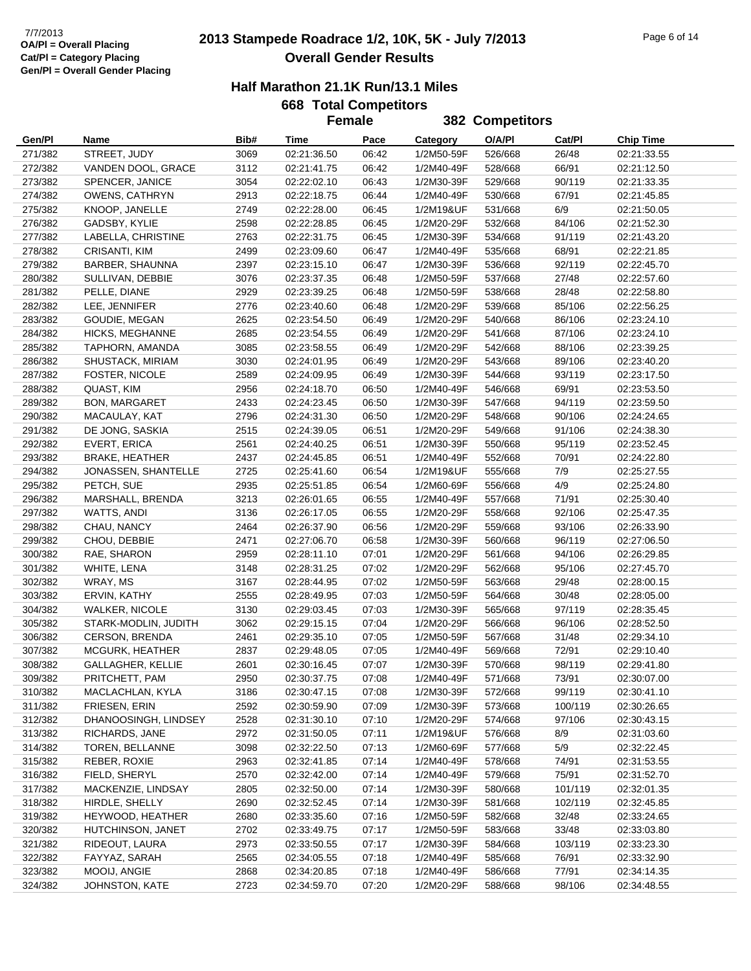## **2013 Stampede Roadrace 1/2, 10K, 5K - July 7/2013** 7/7/2013 Page 6 of 14 **Overall Gender Results**

|  | 668 Total Competitors |  |
|--|-----------------------|--|
|  | Eamala                |  |

|                    |                                    |              | <b>Female</b>              |                |                          | 382 Competitors    |                  |                            |
|--------------------|------------------------------------|--------------|----------------------------|----------------|--------------------------|--------------------|------------------|----------------------------|
| Gen/Pl             | Name                               | Bib#         | Time                       | Pace           | Category                 | O/A/PI             | Cat/Pl           | <b>Chip Time</b>           |
| 271/382            | STREET, JUDY                       | 3069         | 02:21:36.50                | 06:42          | 1/2M50-59F               | 526/668            | 26/48            | 02:21:33.55                |
| 272/382            | VANDEN DOOL, GRACE                 | 3112         | 02:21:41.75                | 06:42          | 1/2M40-49F               | 528/668            | 66/91            | 02:21:12.50                |
| 273/382            | SPENCER, JANICE                    | 3054         | 02:22:02.10                | 06:43          | 1/2M30-39F               | 529/668            | 90/119           | 02:21:33.35                |
| 274/382            | <b>OWENS, CATHRYN</b>              | 2913         | 02:22:18.75                | 06:44          | 1/2M40-49F               | 530/668            | 67/91            | 02:21:45.85                |
| 275/382            | KNOOP, JANELLE                     | 2749         | 02:22:28.00                | 06:45          | 1/2M19&UF                | 531/668            | 6/9              | 02:21:50.05                |
| 276/382            | GADSBY, KYLIE                      | 2598         | 02:22:28.85                | 06:45          | 1/2M20-29F               | 532/668            | 84/106           | 02:21:52.30                |
| 277/382            | LABELLA, CHRISTINE                 | 2763         | 02:22:31.75                | 06:45          | 1/2M30-39F               | 534/668            | 91/119           | 02:21:43.20                |
| 278/382            | CRISANTI, KIM                      | 2499         | 02:23:09.60                | 06:47          | 1/2M40-49F               | 535/668            | 68/91            | 02:22:21.85                |
| 279/382            | BARBER, SHAUNNA                    | 2397         | 02:23:15.10                | 06:47          | 1/2M30-39F               | 536/668            | 92/119           | 02:22:45.70                |
| 280/382            | SULLIVAN, DEBBIE                   | 3076         | 02:23:37.35                | 06:48          | 1/2M50-59F               | 537/668            | 27/48            | 02:22:57.60                |
| 281/382            | PELLE, DIANE                       | 2929         | 02:23:39.25                | 06:48          | 1/2M50-59F               | 538/668            | 28/48            | 02:22:58.80                |
| 282/382            | LEE, JENNIFER                      | 2776         | 02:23:40.60                | 06:48          | 1/2M20-29F               | 539/668            | 85/106           | 02:22:56.25                |
| 283/382            | GOUDIE, MEGAN                      | 2625         | 02:23:54.50                | 06:49          | 1/2M20-29F               | 540/668            | 86/106           | 02:23:24.10                |
| 284/382            | HICKS, MEGHANNE                    | 2685         | 02:23:54.55                | 06:49          | 1/2M20-29F               | 541/668            | 87/106           | 02:23:24.10                |
| 285/382            | TAPHORN, AMANDA                    | 3085         | 02:23:58.55                | 06:49          | 1/2M20-29F               | 542/668            | 88/106           | 02:23:39.25                |
| 286/382            | <b>SHUSTACK, MIRIAM</b>            | 3030         | 02:24:01.95                | 06:49          | 1/2M20-29F               | 543/668            | 89/106           | 02:23:40.20                |
| 287/382            | FOSTER, NICOLE                     | 2589         | 02:24:09.95                | 06:49          | 1/2M30-39F               | 544/668            | 93/119           | 02:23:17.50                |
| 288/382            | QUAST, KIM                         | 2956         | 02:24:18.70                | 06:50          | 1/2M40-49F               | 546/668            | 69/91            | 02:23:53.50                |
| 289/382            | <b>BON, MARGARET</b>               | 2433         | 02:24:23.45                | 06:50          | 1/2M30-39F               | 547/668            | 94/119           | 02:23:59.50                |
| 290/382            | MACAULAY, KAT                      | 2796         | 02:24:31.30                | 06:50          | 1/2M20-29F               | 548/668            | 90/106           | 02:24:24.65                |
| 291/382            | DE JONG, SASKIA                    | 2515         | 02:24:39.05                | 06:51          | 1/2M20-29F               | 549/668            | 91/106           | 02:24:38.30                |
| 292/382            | EVERT, ERICA                       | 2561         | 02:24:40.25                | 06:51          | 1/2M30-39F               | 550/668            | 95/119           | 02:23:52.45                |
| 293/382            | <b>BRAKE, HEATHER</b>              | 2437         | 02:24:45.85                | 06:51          | 1/2M40-49F               | 552/668            | 70/91            | 02:24:22.80                |
| 294/382            | JONASSEN, SHANTELLE                | 2725         | 02:25:41.60                | 06:54          | 1/2M19&UF                | 555/668            | 7/9              | 02:25:27.55                |
| 295/382            | PETCH, SUE                         | 2935         | 02:25:51.85                | 06:54          | 1/2M60-69F               | 556/668            | 4/9              | 02:25:24.80                |
| 296/382            | MARSHALL, BRENDA                   | 3213         | 02:26:01.65                | 06:55          | 1/2M40-49F               | 557/668            | 71/91            | 02:25:30.40                |
| 297/382            | WATTS, ANDI                        | 3136         | 02:26:17.05                | 06:55          | 1/2M20-29F               | 558/668            | 92/106           | 02:25:47.35                |
| 298/382            | CHAU, NANCY                        | 2464         | 02:26:37.90                | 06:56          | 1/2M20-29F               | 559/668            | 93/106           | 02:26:33.90                |
| 299/382            | CHOU, DEBBIE                       | 2471         | 02:27:06.70                | 06:58          | 1/2M30-39F               | 560/668            | 96/119           | 02:27:06.50                |
| 300/382            | RAE, SHARON                        | 2959         | 02:28:11.10                | 07:01          | 1/2M20-29F               | 561/668            | 94/106           | 02:26:29.85                |
| 301/382            | WHITE, LENA                        | 3148         | 02:28:31.25                | 07:02          | 1/2M20-29F               | 562/668            | 95/106           | 02:27:45.70                |
| 302/382            | WRAY, MS                           | 3167         | 02:28:44.95                | 07:02          | 1/2M50-59F               | 563/668            | 29/48            | 02:28:00.15                |
| 303/382            | ERVIN, KATHY                       | 2555         | 02:28:49.95                | 07:03          | 1/2M50-59F               | 564/668            | 30/48            | 02:28:05.00                |
| 304/382            | <b>WALKER, NICOLE</b>              | 3130         | 02:29:03.45                | 07:03          | 1/2M30-39F               | 565/668            | 97/119           | 02:28:35.45                |
| 305/382            | STARK-MODLIN, JUDITH               | 3062         | 02:29:15.15                | 07:04          | 1/2M20-29F               | 566/668            | 96/106           | 02:28:52.50                |
| 306/382            | <b>CERSON, BRENDA</b>              | 2461         | 02:29:35.10                | 07:05          | 1/2M50-59F               | 567/668            | 31/48            | 02:29:34.10                |
| 307/382            | <b>MCGURK, HEATHER</b>             | 2837         | 02:29:48.05                | 07:05          | 1/2M40-49F               | 569/668            | 72/91            | 02:29:10.40                |
| 308/382            | GALLAGHER, KELLIE                  | 2601         | 02:30:16.45                | 07:07          | 1/2M30-39F               | 570/668            | 98/119           | 02:29:41.80                |
| 309/382            | PRITCHETT, PAM<br>MACLACHLAN, KYLA | 2950         | 02:30:37.75<br>02:30:47.15 | 07:08<br>07:08 | 1/2M40-49F<br>1/2M30-39F | 571/668            | 73/91<br>99/119  | 02:30:07.00<br>02:30:41.10 |
| 310/382            | FRIESEN, ERIN                      | 3186<br>2592 | 02:30:59.90                | 07:09          | 1/2M30-39F               | 572/668            | 100/119          | 02:30:26.65                |
| 311/382<br>312/382 | DHANOOSINGH, LINDSEY               | 2528         | 02:31:30.10                | 07:10          | 1/2M20-29F               | 573/668<br>574/668 | 97/106           | 02:30:43.15                |
| 313/382            | RICHARDS, JANE                     | 2972         | 02:31:50.05                | 07:11          | 1/2M19&UF                | 576/668            | 8/9              | 02:31:03.60                |
| 314/382            | TOREN, BELLANNE                    | 3098         | 02:32:22.50                | 07:13          | 1/2M60-69F               | 577/668            | 5/9              | 02:32:22.45                |
| 315/382            | REBER, ROXIE                       | 2963         | 02:32:41.85                | 07:14          | 1/2M40-49F               | 578/668            | 74/91            | 02:31:53.55                |
|                    | FIELD, SHERYL                      | 2570         | 02:32:42.00                |                |                          |                    |                  |                            |
| 316/382<br>317/382 | MACKENZIE, LINDSAY                 | 2805         | 02:32:50.00                | 07:14<br>07:14 | 1/2M40-49F<br>1/2M30-39F | 579/668<br>580/668 | 75/91<br>101/119 | 02:31:52.70<br>02:32:01.35 |
| 318/382            | HIRDLE, SHELLY                     | 2690         | 02:32:52.45                | 07:14          | 1/2M30-39F               | 581/668            | 102/119          | 02:32:45.85                |
| 319/382            | HEYWOOD, HEATHER                   | 2680         | 02:33:35.60                | 07:16          | 1/2M50-59F               | 582/668            | 32/48            | 02:33:24.65                |
| 320/382            | HUTCHINSON, JANET                  | 2702         | 02:33:49.75                | 07:17          | 1/2M50-59F               | 583/668            | 33/48            | 02:33:03.80                |
| 321/382            | RIDEOUT, LAURA                     | 2973         | 02:33:50.55                | 07:17          | 1/2M30-39F               | 584/668            | 103/119          | 02:33:23.30                |
| 322/382            | FAYYAZ, SARAH                      | 2565         | 02:34:05.55                | 07:18          | 1/2M40-49F               | 585/668            | 76/91            | 02:33:32.90                |
| 323/382            | MOOIJ, ANGIE                       | 2868         | 02:34:20.85                | 07:18          | 1/2M40-49F               | 586/668            | 77/91            | 02:34:14.35                |
| 324/382            | JOHNSTON, KATE                     | 2723         | 02:34:59.70                | 07:20          | 1/2M20-29F               | 588/668            | 98/106           | 02:34:48.55                |
|                    |                                    |              |                            |                |                          |                    |                  |                            |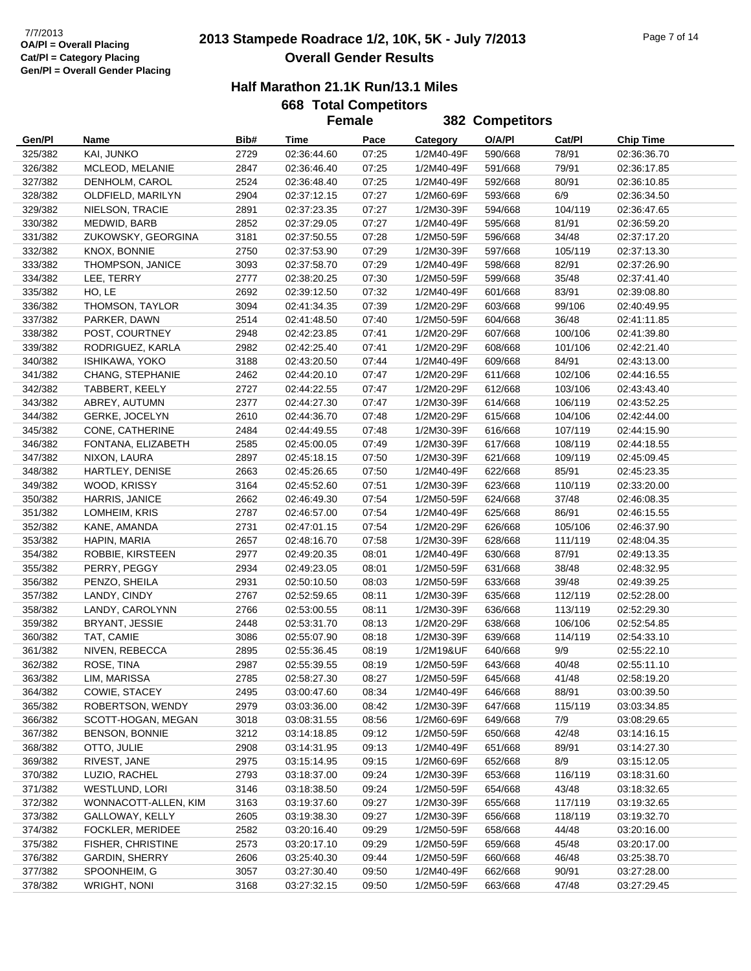## **2013 Stampede Roadrace 1/2, 10K, 5K - July 7/2013** 7/7/2013 Page 7 of 14 **Overall Gender Results**

|                    |                                        |              |                            | <b>Female</b>  |                          | 382 Competitors    |                  |                            |
|--------------------|----------------------------------------|--------------|----------------------------|----------------|--------------------------|--------------------|------------------|----------------------------|
| Gen/Pl             | Name                                   | Bib#         | Time                       | Pace           | Category                 | O/A/PI             | Cat/Pl           | <b>Chip Time</b>           |
| 325/382            | KAI, JUNKO                             | 2729         | 02:36:44.60                | 07:25          | 1/2M40-49F               | 590/668            | 78/91            | 02:36:36.70                |
| 326/382            | MCLEOD, MELANIE                        | 2847         | 02:36:46.40                | 07:25          | 1/2M40-49F               | 591/668            | 79/91            | 02:36:17.85                |
| 327/382            | DENHOLM, CAROL                         | 2524         | 02:36:48.40                | 07:25          | 1/2M40-49F               | 592/668            | 80/91            | 02:36:10.85                |
| 328/382            | OLDFIELD, MARILYN                      | 2904         | 02:37:12.15                | 07:27          | 1/2M60-69F               | 593/668            | 6/9              | 02:36:34.50                |
| 329/382            | NIELSON, TRACIE                        | 2891         | 02:37:23.35                | 07:27          | 1/2M30-39F               | 594/668            | 104/119          | 02:36:47.65                |
| 330/382            | MEDWID, BARB                           | 2852         | 02:37:29.05                | 07:27          | 1/2M40-49F               | 595/668            | 81/91            | 02:36:59.20                |
| 331/382            | ZUKOWSKY, GEORGINA                     | 3181         | 02:37:50.55                | 07:28          | 1/2M50-59F               | 596/668            | 34/48            | 02:37:17.20                |
| 332/382            | KNOX, BONNIE                           | 2750         | 02:37:53.90                | 07:29          | 1/2M30-39F               | 597/668            | 105/119          | 02:37:13.30                |
| 333/382            | THOMPSON, JANICE                       | 3093         | 02:37:58.70                | 07:29          | 1/2M40-49F               | 598/668            | 82/91            | 02:37:26.90                |
| 334/382            | LEE, TERRY                             | 2777         | 02:38:20.25                | 07:30          | 1/2M50-59F               | 599/668            | 35/48            | 02:37:41.40                |
| 335/382            | HO, LE                                 | 2692         | 02:39:12.50                | 07:32          | 1/2M40-49F               | 601/668            | 83/91            | 02:39:08.80                |
| 336/382            | THOMSON, TAYLOR                        | 3094         | 02:41:34.35                | 07:39          | 1/2M20-29F               | 603/668            | 99/106           | 02:40:49.95                |
| 337/382            | PARKER, DAWN                           | 2514         | 02:41:48.50                | 07:40          | 1/2M50-59F               | 604/668            | 36/48            | 02:41:11.85                |
| 338/382            | POST, COURTNEY                         | 2948         | 02:42:23.85                | 07:41          | 1/2M20-29F               | 607/668            | 100/106          | 02:41:39.80                |
| 339/382            | RODRIGUEZ, KARLA                       | 2982         | 02:42:25.40                | 07:41          | 1/2M20-29F               | 608/668            | 101/106          | 02:42:21.40                |
| 340/382            | <b>ISHIKAWA, YOKO</b>                  | 3188         | 02:43:20.50                | 07:44          | 1/2M40-49F               | 609/668            | 84/91            | 02:43:13.00                |
| 341/382            | CHANG, STEPHANIE                       | 2462         | 02:44:20.10                | 07:47          | 1/2M20-29F               | 611/668            | 102/106          | 02:44:16.55                |
| 342/382            | TABBERT, KEELY                         | 2727         | 02:44:22.55                | 07:47          | 1/2M20-29F               | 612/668            | 103/106          | 02:43:43.40                |
| 343/382            | ABREY, AUTUMN                          | 2377         | 02:44:27.30                | 07:47          | 1/2M30-39F               | 614/668            | 106/119          | 02:43:52.25                |
| 344/382            | GERKE, JOCELYN                         | 2610         | 02:44:36.70                | 07:48          | 1/2M20-29F               | 615/668            | 104/106          | 02:42:44.00                |
| 345/382            | CONE, CATHERINE                        | 2484         | 02:44:49.55                | 07:48          | 1/2M30-39F               | 616/668            | 107/119          | 02:44:15.90                |
| 346/382            | FONTANA, ELIZABETH                     | 2585         | 02:45:00.05                | 07:49          | 1/2M30-39F               | 617/668            | 108/119          | 02:44:18.55                |
| 347/382            | NIXON, LAURA                           | 2897         | 02:45:18.15                | 07:50          | 1/2M30-39F               | 621/668            | 109/119          | 02:45:09.45                |
| 348/382            | HARTLEY, DENISE                        | 2663         | 02:45:26.65                | 07:50          | 1/2M40-49F               | 622/668            | 85/91            | 02:45:23.35                |
| 349/382            | WOOD, KRISSY                           | 3164         | 02:45:52.60                | 07:51          | 1/2M30-39F               | 623/668            | 110/119          | 02:33:20.00                |
| 350/382            | HARRIS, JANICE                         | 2662         | 02:46:49.30                | 07:54          | 1/2M50-59F               | 624/668            | 37/48            | 02:46:08.35                |
| 351/382            | LOMHEIM, KRIS                          | 2787         | 02:46:57.00                | 07:54          | 1/2M40-49F               | 625/668            | 86/91            | 02:46:15.55                |
| 352/382            | KANE, AMANDA                           | 2731         | 02:47:01.15                | 07:54          | 1/2M20-29F               | 626/668            | 105/106          | 02:46:37.90                |
| 353/382            | HAPIN, MARIA                           | 2657         | 02:48:16.70                | 07:58          | 1/2M30-39F               | 628/668            | 111/119          | 02:48:04.35                |
| 354/382            | ROBBIE, KIRSTEEN                       | 2977         | 02:49:20.35                | 08:01          | 1/2M40-49F               | 630/668            | 87/91            | 02:49:13.35                |
| 355/382            | PERRY, PEGGY                           | 2934         | 02:49:23.05                | 08:01          | 1/2M50-59F               | 631/668            | 38/48            | 02:48:32.95                |
| 356/382            | PENZO, SHEILA                          | 2931         | 02:50:10.50                | 08:03          | 1/2M50-59F               | 633/668            | 39/48            | 02:49:39.25                |
| 357/382            | LANDY, CINDY                           | 2767         | 02:52:59.65                | 08:11          | 1/2M30-39F               | 635/668            | 112/119          | 02:52:28.00                |
| 358/382            | LANDY, CAROLYNN                        | 2766         | 02:53:00.55                | 08:11          | 1/2M30-39F               | 636/668            | 113/119          | 02:52:29.30                |
| 359/382            | BRYANT, JESSIE                         | 2448         | 02:53:31.70                | 08:13          | 1/2M20-29F               | 638/668            | 106/106          | 02:52:54.85                |
| 360/382            | TAT, CAMIE                             | 3086         | 02:55:07.90                | 08:18          | 1/2M30-39F               | 639/668            | 114/119          | 02:54:33.10                |
| 361/382            | NIVEN, REBECCA                         | 2895         | 02:55:36.45                | 08:19          | 1/2M19&UF                | 640/668            | 9/9              | 02:55:22.10                |
| 362/382            | ROSE, TINA                             | 2987         | 02:55:39.55                | 08:19          | 1/2M50-59F               | 643/668            | 40/48            | 02:55:11.10                |
| 363/382            | LIM, MARISSA                           | 2785         | 02:58:27.30                | 08:27          | 1/2M50-59F               | 645/668            | 41/48            | 02:58:19.20                |
| 364/382            | COWIE, STACEY                          | 2495         | 03:00:47.60                | 08:34          | 1/2M40-49F               | 646/668            | 88/91            | 03:00:39.50                |
| 365/382            | ROBERTSON, WENDY                       | 2979         | 03:03:36.00                | 08:42          | 1/2M30-39F               | 647/668            | 115/119          | 03:03:34.85                |
| 366/382            | SCOTT-HOGAN, MEGAN                     | 3018         | 03:08:31.55                | 08:56          | 1/2M60-69F               | 649/668            | 7/9              | 03:08:29.65                |
| 367/382            | <b>BENSON, BONNIE</b>                  | 3212         | 03:14:18.85                | 09:12          | 1/2M50-59F               | 650/668            | 42/48            | 03:14:16.15                |
| 368/382            | OTTO, JULIE                            | 2908         | 03:14:31.95                | 09:13          | 1/2M40-49F               | 651/668            | 89/91            | 03:14:27.30                |
| 369/382            | RIVEST, JANE                           | 2975         | 03:15:14.95                | 09:15          | 1/2M60-69F               | 652/668            | 8/9              | 03:15:12.05                |
| 370/382            | LUZIO, RACHEL<br><b>WESTLUND, LORI</b> | 2793         | 03:18:37.00                | 09:24          | 1/2M30-39F               | 653/668            | 116/119          | 03:18:31.60                |
| 371/382            | WONNACOTT-ALLEN, KIM                   | 3146         | 03:18:38.50<br>03:19:37.60 | 09:24<br>09:27 | 1/2M50-59F<br>1/2M30-39F | 654/668            | 43/48<br>117/119 | 03:18:32.65                |
| 372/382            |                                        | 3163         |                            |                |                          | 655/668            |                  | 03:19:32.65                |
| 373/382            | GALLOWAY, KELLY<br>FOCKLER, MERIDEE    | 2605<br>2582 | 03:19:38.30<br>03:20:16.40 | 09:27<br>09:29 | 1/2M30-39F<br>1/2M50-59F | 656/668<br>658/668 | 118/119<br>44/48 | 03:19:32.70<br>03:20:16.00 |
| 374/382<br>375/382 | FISHER, CHRISTINE                      | 2573         | 03:20:17.10                | 09:29          | 1/2M50-59F               | 659/668            | 45/48            | 03:20:17.00                |
| 376/382            | <b>GARDIN, SHERRY</b>                  | 2606         | 03:25:40.30                | 09:44          | 1/2M50-59F               | 660/668            | 46/48            | 03:25:38.70                |
| 377/382            | SPOONHEIM, G                           | 3057         | 03:27:30.40                | 09:50          | 1/2M40-49F               | 662/668            | 90/91            | 03:27:28.00                |
| 378/382            | <b>WRIGHT, NONI</b>                    | 3168         | 03:27:32.15                | 09:50          | 1/2M50-59F               | 663/668            | 47/48            | 03:27:29.45                |
|                    |                                        |              |                            |                |                          |                    |                  |                            |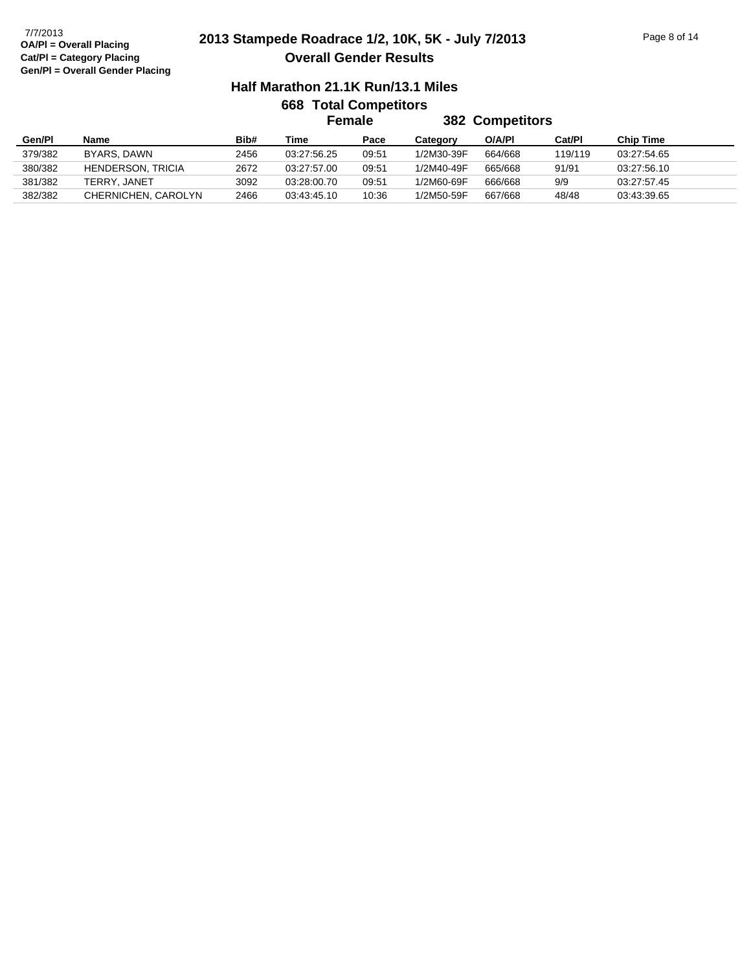### **OA/Pl = Overall Placing Cat/Pl = Category Placing Gen/Pl = Overall Gender Placing**

## **2013 Stampede Roadrace 1/2, 10K, 5K - July 7/2013** 7/7/2013 Page 8 of 14 **Overall Gender Results**

### **Half Marathon 21.1K Run/13.1 Miles 668 Total Competitors**

| <b>382 Competitors</b><br>Female<br>Gen/Pl<br>Bib#<br>O/A/PI<br><b>Chip Time</b><br>Time<br>Cat/Pl<br>Pace<br>Name<br>Category<br>379/382<br>BYARS, DAWN<br>1/2M30-39F<br>2456<br>03:27:56.25<br>664/668<br>119/119<br>09:51<br>03:27:54.65<br>380/382<br><b>HENDERSON, TRICIA</b><br>2672<br>1/2M40-49F<br>665/668<br>91/91<br>03:27:57.00<br>09:51<br>03:27:56.10<br>381/382<br>3092<br>9/9<br>09:51<br>1/2M60-69F<br>TERRY, JANET<br>03:28:00.70<br>666/668<br>03:27:57.45 |  |  |  |  |  |  |  |  |  |  |
|-------------------------------------------------------------------------------------------------------------------------------------------------------------------------------------------------------------------------------------------------------------------------------------------------------------------------------------------------------------------------------------------------------------------------------------------------------------------------------|--|--|--|--|--|--|--|--|--|--|
|                                                                                                                                                                                                                                                                                                                                                                                                                                                                               |  |  |  |  |  |  |  |  |  |  |
|                                                                                                                                                                                                                                                                                                                                                                                                                                                                               |  |  |  |  |  |  |  |  |  |  |
|                                                                                                                                                                                                                                                                                                                                                                                                                                                                               |  |  |  |  |  |  |  |  |  |  |
|                                                                                                                                                                                                                                                                                                                                                                                                                                                                               |  |  |  |  |  |  |  |  |  |  |
|                                                                                                                                                                                                                                                                                                                                                                                                                                                                               |  |  |  |  |  |  |  |  |  |  |
| 382/382<br>CHERNICHEN, CAROLYN<br>2466<br>10:36<br>667/668<br>48/48<br>1/2M50-59F<br>03:43:45.10<br>03:43:39.65                                                                                                                                                                                                                                                                                                                                                               |  |  |  |  |  |  |  |  |  |  |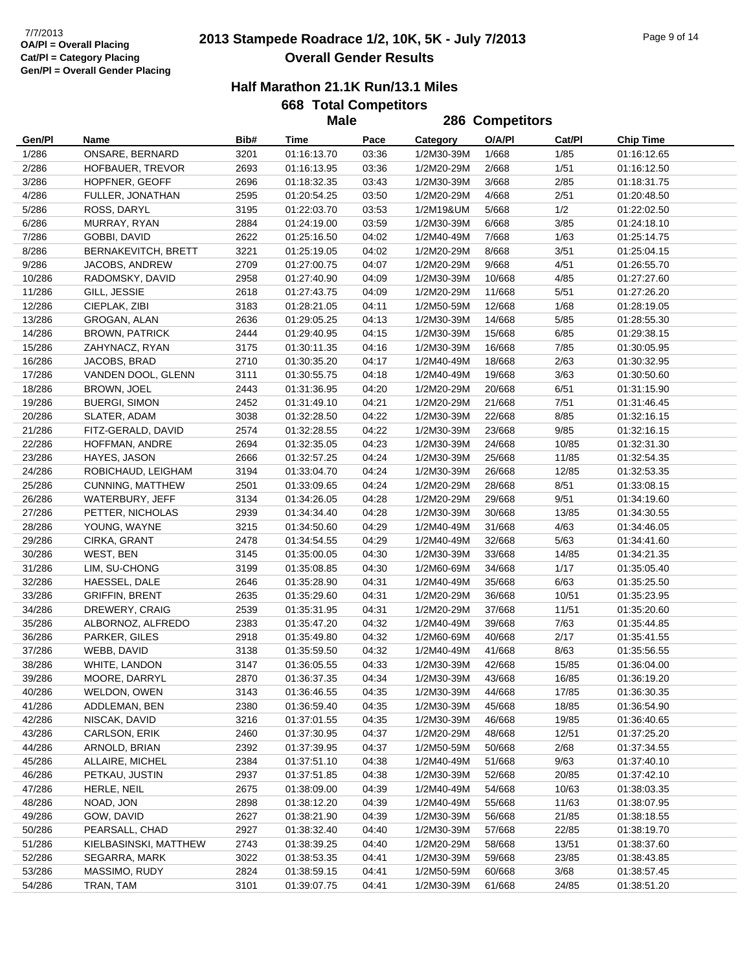## **2013 Stampede Roadrace 1/2, 10K, 5K - July 7/2013** 7/7/2013 Page 9 of 14 **Overall Gender Results**

### **Half Marathon 21.1K Run/13.1 Miles**

|        |                         |      | <b>Male</b> |       |            | 286 Competitors |        |                  |
|--------|-------------------------|------|-------------|-------|------------|-----------------|--------|------------------|
| Gen/Pl | Name                    | Bib# | Time        | Pace  | Category   | O/A/PI          | Cat/Pl | <b>Chip Time</b> |
| 1/286  | ONSARE, BERNARD         | 3201 | 01:16:13.70 | 03:36 | 1/2M30-39M | 1/668           | 1/85   | 01:16:12.65      |
| 2/286  | HOFBAUER, TREVOR        | 2693 | 01:16:13.95 | 03:36 | 1/2M20-29M | 2/668           | 1/51   | 01:16:12.50      |
| 3/286  | HOPFNER, GEOFF          | 2696 | 01:18:32.35 | 03:43 | 1/2M30-39M | 3/668           | 2/85   | 01:18:31.75      |
| 4/286  | FULLER, JONATHAN        | 2595 | 01:20:54.25 | 03:50 | 1/2M20-29M | 4/668           | 2/51   | 01:20:48.50      |
| 5/286  | ROSS, DARYL             | 3195 | 01:22:03.70 | 03:53 | 1/2M19&UM  | 5/668           | 1/2    | 01:22:02.50      |
| 6/286  | MURRAY, RYAN            | 2884 | 01:24:19.00 | 03:59 | 1/2M30-39M | 6/668           | 3/85   | 01:24:18.10      |
| 7/286  | GOBBI, DAVID            | 2622 | 01:25:16.50 | 04:02 | 1/2M40-49M | 7/668           | 1/63   | 01:25:14.75      |
| 8/286  | BERNAKEVITCH, BRETT     | 3221 | 01:25:19.05 | 04:02 | 1/2M20-29M | 8/668           | 3/51   | 01:25:04.15      |
| 9/286  | JACOBS, ANDREW          | 2709 | 01:27:00.75 | 04:07 | 1/2M20-29M | 9/668           | 4/51   | 01:26:55.70      |
| 10/286 | RADOMSKY, DAVID         | 2958 | 01:27:40.90 | 04:09 | 1/2M30-39M | 10/668          | 4/85   | 01:27:27.60      |
| 11/286 | GILL, JESSIE            | 2618 | 01:27:43.75 | 04:09 | 1/2M20-29M | 11/668          | 5/51   | 01:27:26.20      |
| 12/286 | CIEPLAK, ZIBI           | 3183 | 01:28:21.05 | 04:11 | 1/2M50-59M | 12/668          | 1/68   | 01:28:19.05      |
| 13/286 | GROGAN, ALAN            | 2636 | 01:29:05.25 | 04:13 | 1/2M30-39M | 14/668          | 5/85   | 01:28:55.30      |
| 14/286 | <b>BROWN, PATRICK</b>   | 2444 | 01:29:40.95 | 04:15 | 1/2M30-39M | 15/668          | 6/85   | 01:29:38.15      |
| 15/286 | ZAHYNACZ, RYAN          | 3175 | 01:30:11.35 | 04:16 | 1/2M30-39M | 16/668          | 7/85   | 01:30:05.95      |
| 16/286 | JACOBS, BRAD            | 2710 | 01:30:35.20 | 04:17 | 1/2M40-49M | 18/668          | 2/63   | 01:30:32.95      |
| 17/286 | VANDEN DOOL, GLENN      | 3111 | 01:30:55.75 | 04:18 | 1/2M40-49M | 19/668          | 3/63   | 01:30:50.60      |
| 18/286 | BROWN, JOEL             | 2443 | 01:31:36.95 | 04:20 | 1/2M20-29M | 20/668          | 6/51   | 01:31:15.90      |
| 19/286 | <b>BUERGI, SIMON</b>    | 2452 | 01:31:49.10 | 04:21 | 1/2M20-29M | 21/668          | 7/51   | 01:31:46.45      |
| 20/286 | SLATER, ADAM            | 3038 | 01:32:28.50 | 04:22 | 1/2M30-39M | 22/668          | 8/85   | 01:32:16.15      |
| 21/286 | FITZ-GERALD, DAVID      | 2574 | 01:32:28.55 | 04:22 | 1/2M30-39M | 23/668          | 9/85   | 01:32:16.15      |
| 22/286 | HOFFMAN, ANDRE          | 2694 | 01:32:35.05 | 04:23 | 1/2M30-39M | 24/668          | 10/85  | 01:32:31.30      |
| 23/286 | HAYES, JASON            | 2666 | 01:32:57.25 | 04:24 | 1/2M30-39M | 25/668          | 11/85  | 01:32:54.35      |
| 24/286 | ROBICHAUD, LEIGHAM      | 3194 | 01:33:04.70 | 04:24 | 1/2M30-39M | 26/668          | 12/85  | 01:32:53.35      |
| 25/286 | <b>CUNNING, MATTHEW</b> | 2501 | 01:33:09.65 | 04:24 | 1/2M20-29M | 28/668          | 8/51   | 01:33:08.15      |
| 26/286 | WATERBURY, JEFF         | 3134 | 01:34:26.05 | 04:28 | 1/2M20-29M | 29/668          | 9/51   | 01:34:19.60      |
| 27/286 | PETTER, NICHOLAS        | 2939 | 01:34:34.40 | 04:28 | 1/2M30-39M | 30/668          | 13/85  | 01:34:30.55      |
| 28/286 | YOUNG, WAYNE            | 3215 | 01:34:50.60 | 04:29 | 1/2M40-49M | 31/668          | 4/63   | 01:34:46.05      |
| 29/286 | CIRKA, GRANT            | 2478 | 01:34:54.55 | 04:29 | 1/2M40-49M | 32/668          | 5/63   | 01:34:41.60      |
| 30/286 | WEST, BEN               | 3145 | 01:35:00.05 | 04:30 | 1/2M30-39M | 33/668          | 14/85  | 01:34:21.35      |
| 31/286 | LIM, SU-CHONG           | 3199 | 01:35:08.85 | 04:30 | 1/2M60-69M | 34/668          | 1/17   | 01:35:05.40      |
| 32/286 | HAESSEL, DALE           | 2646 | 01:35:28.90 | 04:31 | 1/2M40-49M | 35/668          | 6/63   | 01:35:25.50      |
| 33/286 | <b>GRIFFIN, BRENT</b>   | 2635 | 01:35:29.60 | 04:31 | 1/2M20-29M | 36/668          | 10/51  | 01:35:23.95      |
| 34/286 | DREWERY, CRAIG          | 2539 | 01:35:31.95 | 04:31 | 1/2M20-29M | 37/668          | 11/51  | 01:35:20.60      |
| 35/286 | ALBORNOZ, ALFREDO       | 2383 | 01:35:47.20 | 04:32 | 1/2M40-49M | 39/668          | 7/63   | 01:35:44.85      |
| 36/286 | PARKER, GILES           | 2918 | 01:35:49.80 | 04:32 | 1/2M60-69M | 40/668          | 2/17   | 01:35:41.55      |
| 37/286 | WEBB, DAVID             | 3138 | 01:35:59.50 | 04:32 | 1/2M40-49M | 41/668          | 8/63   | 01:35:56.55      |
| 38/286 | WHITE, LANDON           | 3147 | 01:36:05.55 | 04:33 | 1/2M30-39M | 42/668          | 15/85  | 01:36:04.00      |
| 39/286 | MOORE, DARRYL           | 2870 | 01:36:37.35 | 04:34 | 1/2M30-39M | 43/668          | 16/85  | 01:36:19.20      |
| 40/286 | WELDON, OWEN            | 3143 | 01:36:46.55 | 04:35 | 1/2M30-39M | 44/668          | 17/85  | 01:36:30.35      |
| 41/286 | ADDLEMAN, BEN           | 2380 | 01:36:59.40 | 04:35 | 1/2M30-39M | 45/668          | 18/85  | 01:36:54.90      |
| 42/286 | NISCAK, DAVID           | 3216 | 01:37:01.55 | 04:35 | 1/2M30-39M | 46/668          | 19/85  | 01:36:40.65      |
| 43/286 | CARLSON, ERIK           | 2460 | 01:37:30.95 | 04:37 | 1/2M20-29M | 48/668          | 12/51  | 01:37:25.20      |
| 44/286 | ARNOLD, BRIAN           | 2392 | 01:37:39.95 | 04:37 | 1/2M50-59M | 50/668          | 2/68   | 01:37:34.55      |
| 45/286 | ALLAIRE, MICHEL         | 2384 | 01:37:51.10 | 04:38 | 1/2M40-49M | 51/668          | 9/63   | 01:37:40.10      |
| 46/286 | PETKAU, JUSTIN          | 2937 | 01:37:51.85 | 04:38 | 1/2M30-39M | 52/668          | 20/85  | 01:37:42.10      |
| 47/286 | HERLE, NEIL             | 2675 | 01:38:09.00 | 04:39 | 1/2M40-49M | 54/668          | 10/63  | 01:38:03.35      |
| 48/286 | NOAD, JON               | 2898 | 01:38:12.20 | 04:39 | 1/2M40-49M | 55/668          | 11/63  | 01:38:07.95      |
| 49/286 | GOW, DAVID              | 2627 | 01:38:21.90 | 04:39 | 1/2M30-39M | 56/668          | 21/85  | 01:38:18.55      |
| 50/286 | PEARSALL, CHAD          | 2927 | 01:38:32.40 | 04:40 | 1/2M30-39M | 57/668          | 22/85  | 01:38:19.70      |
| 51/286 | KIELBASINSKI, MATTHEW   | 2743 | 01:38:39.25 | 04:40 | 1/2M20-29M | 58/668          | 13/51  | 01:38:37.60      |
| 52/286 | SEGARRA, MARK           | 3022 | 01:38:53.35 | 04:41 | 1/2M30-39M | 59/668          | 23/85  | 01:38:43.85      |
| 53/286 | MASSIMO, RUDY           | 2824 | 01:38:59.15 | 04:41 | 1/2M50-59M | 60/668          | 3/68   | 01:38:57.45      |
| 54/286 | TRAN, TAM               | 3101 | 01:39:07.75 | 04:41 | 1/2M30-39M | 61/668          | 24/85  | 01:38:51.20      |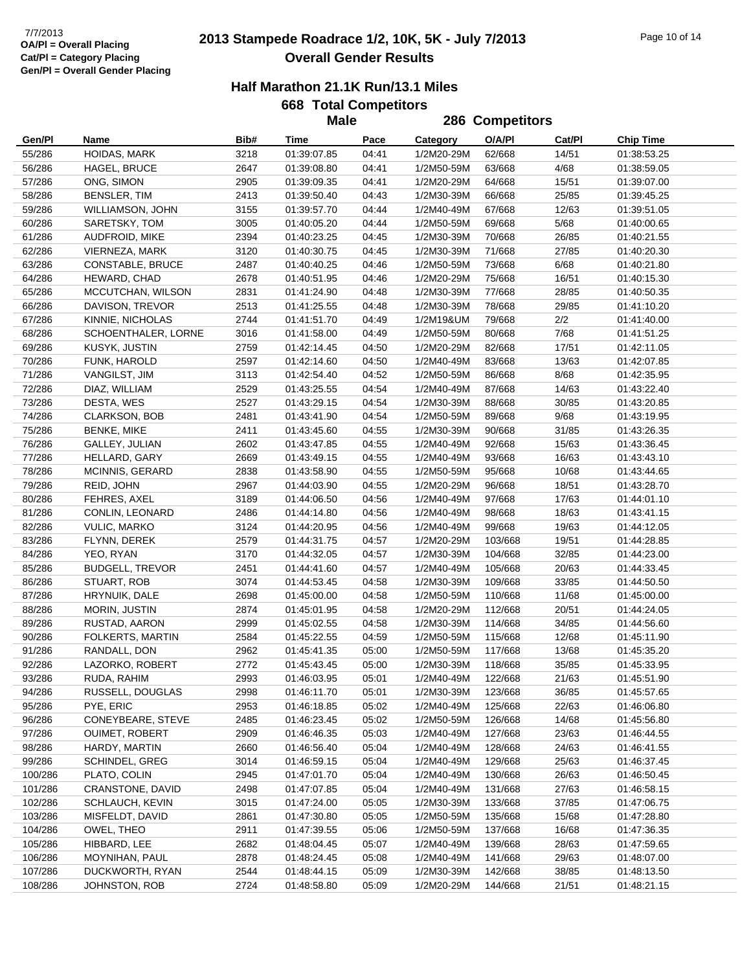## **2013 Stampede Roadrace 1/2, 10K, 5K - July 7/2013** 7/7/2013 Page 10 of 14 **Overall Gender Results**

### **Half Marathon 21.1K Run/13.1 Miles**

|                    |                                  |              | <b>Male</b>                |                |                          | 286 Competitors    |                |                            |
|--------------------|----------------------------------|--------------|----------------------------|----------------|--------------------------|--------------------|----------------|----------------------------|
| Gen/Pl             | Name                             | Bib#         | Time                       | Pace           | <b>Category</b>          | O/A/PI             | Cat/Pl         | <b>Chip Time</b>           |
| 55/286             | HOIDAS, MARK                     | 3218         | 01:39:07.85                | 04:41          | 1/2M20-29M               | 62/668             | 14/51          | 01:38:53.25                |
| 56/286             | HAGEL, BRUCE                     | 2647         | 01:39:08.80                | 04:41          | 1/2M50-59M               | 63/668             | 4/68           | 01:38:59.05                |
| 57/286             | ONG, SIMON                       | 2905         | 01:39:09.35                | 04:41          | 1/2M20-29M               | 64/668             | 15/51          | 01:39:07.00                |
| 58/286             | <b>BENSLER, TIM</b>              | 2413         | 01:39:50.40                | 04:43          | 1/2M30-39M               | 66/668             | 25/85          | 01:39:45.25                |
| 59/286             | <b>WILLIAMSON, JOHN</b>          | 3155         | 01:39:57.70                | 04:44          | 1/2M40-49M               | 67/668             | 12/63          | 01:39:51.05                |
| 60/286             | SARETSKY, TOM                    | 3005         | 01:40:05.20                | 04:44          | 1/2M50-59M               | 69/668             | 5/68           | 01:40:00.65                |
| 61/286             | <b>AUDFROID, MIKE</b>            | 2394         | 01:40:23.25                | 04:45          | 1/2M30-39M               | 70/668             | 26/85          | 01:40:21.55                |
| 62/286             | VIERNEZA, MARK                   | 3120         | 01:40:30.75                | 04:45          | 1/2M30-39M               | 71/668             | 27/85          | 01:40:20.30                |
| 63/286             | CONSTABLE, BRUCE                 | 2487         | 01:40:40.25                | 04:46          | 1/2M50-59M               | 73/668             | 6/68           | 01:40:21.80                |
| 64/286             | HEWARD, CHAD                     | 2678         | 01:40:51.95                | 04:46          | 1/2M20-29M               | 75/668             | 16/51          | 01:40:15.30                |
| 65/286             | MCCUTCHAN, WILSON                | 2831         | 01:41:24.90                | 04:48          | 1/2M30-39M               | 77/668             | 28/85          | 01:40:50.35                |
| 66/286             | DAVISON, TREVOR                  | 2513         | 01:41:25.55                | 04:48          | 1/2M30-39M               | 78/668             | 29/85          | 01:41:10.20                |
| 67/286             | KINNIE, NICHOLAS                 | 2744         | 01:41:51.70                | 04:49          | 1/2M19&UM                | 79/668             | 2/2            | 01:41:40.00                |
| 68/286             | SCHOENTHALER, LORNE              | 3016         | 01:41:58.00                | 04:49          | 1/2M50-59M               | 80/668             | 7/68           | 01:41:51.25                |
| 69/286             | KUSYK, JUSTIN                    | 2759         | 01:42:14.45                | 04:50          | 1/2M20-29M               | 82/668             | 17/51          | 01:42:11.05                |
| 70/286             | FUNK, HAROLD                     | 2597         | 01:42:14.60                | 04:50          | 1/2M40-49M               | 83/668             | 13/63          | 01:42:07.85                |
| 71/286             | VANGILST, JIM                    | 3113         | 01:42:54.40                | 04:52          | 1/2M50-59M               | 86/668             | 8/68           | 01:42:35.95                |
| 72/286             | DIAZ, WILLIAM                    | 2529         | 01:43:25.55                | 04:54          | 1/2M40-49M               | 87/668             | 14/63          | 01:43:22.40                |
| 73/286             | DESTA, WES                       | 2527         | 01:43:29.15                | 04:54          | 1/2M30-39M               | 88/668             | 30/85          | 01:43:20.85                |
| 74/286             | <b>CLARKSON, BOB</b>             | 2481         | 01:43:41.90                | 04:54          | 1/2M50-59M               | 89/668             | 9/68           | 01:43:19.95                |
| 75/286             | <b>BENKE, MIKE</b>               | 2411         | 01:43:45.60                | 04:55          | 1/2M30-39M               | 90/668             | 31/85          | 01:43:26.35                |
| 76/286             | GALLEY, JULIAN                   | 2602         | 01:43:47.85                | 04:55          | 1/2M40-49M               | 92/668             | 15/63          | 01:43:36.45                |
| 77/286             | HELLARD, GARY                    | 2669         | 01:43:49.15                | 04:55          | 1/2M40-49M               | 93/668             | 16/63          | 01:43:43.10                |
| 78/286             | <b>MCINNIS, GERARD</b>           | 2838         | 01:43:58.90                | 04:55          | 1/2M50-59M               | 95/668             | 10/68          | 01:43:44.65                |
| 79/286             | REID, JOHN                       | 2967         | 01:44:03.90                | 04:55          | 1/2M20-29M               | 96/668             | 18/51          | 01:43:28.70                |
| 80/286             | FEHRES, AXEL                     | 3189         | 01:44:06.50                | 04:56          | 1/2M40-49M               | 97/668             | 17/63          | 01:44:01.10                |
| 81/286             | CONLIN, LEONARD                  | 2486         | 01:44:14.80                | 04:56          | 1/2M40-49M               | 98/668             | 18/63          | 01:43:41.15                |
| 82/286             | <b>VULIC, MARKO</b>              | 3124         | 01:44:20.95                | 04:56          | 1/2M40-49M               | 99/668             | 19/63          | 01:44:12.05                |
| 83/286             | FLYNN, DEREK                     | 2579         | 01:44:31.75                | 04:57          | 1/2M20-29M               | 103/668            | 19/51          | 01:44:28.85                |
| 84/286             | YEO, RYAN                        | 3170         | 01:44:32.05                | 04:57          | 1/2M30-39M               | 104/668            | 32/85          | 01:44:23.00                |
| 85/286             | <b>BUDGELL, TREVOR</b>           | 2451         | 01:44:41.60                | 04:57          | 1/2M40-49M               | 105/668            | 20/63          | 01:44:33.45                |
| 86/286             | STUART, ROB                      | 3074         | 01:44:53.45                | 04:58          | 1/2M30-39M               | 109/668            | 33/85          | 01:44:50.50                |
| 87/286             | HRYNUIK, DALE                    | 2698         | 01:45:00.00                | 04:58          | 1/2M50-59M               | 110/668            | 11/68          | 01:45:00.00                |
| 88/286             | MORIN, JUSTIN                    | 2874         | 01:45:01.95                | 04:58          | 1/2M20-29M               | 112/668            | 20/51          | 01:44:24.05                |
| 89/286             | RUSTAD, AARON                    | 2999         | 01:45:02.55                | 04:58          | 1/2M30-39M               | 114/668            | 34/85          | 01:44:56.60                |
| 90/286             | FOLKERTS, MARTIN                 | 2584         | 01:45:22.55                | 04:59          | 1/2M50-59M               | 115/668            | 12/68          | 01:45:11.90                |
| 91/286             | RANDALL, DON                     | 2962         | 01:45:41.35                | 05:00          | 1/2M50-59M               | 117/668            | 13/68          | 01:45:35.20                |
| 92/286             | LAZORKO, ROBERT                  | 2772         | 01:45:43.45                | 05:00          | 1/2M30-39M  118/668      |                    | 35/85          | 01:45:33.95                |
| 93/286             | RUDA, RAHIM                      | 2993         | 01:46:03.95                | 05:01          | 1/2M40-49M               | 122/668            | 21/63          | 01:45:51.90                |
| 94/286             | RUSSELL, DOUGLAS                 | 2998         | 01:46:11.70                | 05:01          | 1/2M30-39M               | 123/668            | 36/85          | 01:45:57.65                |
| 95/286<br>96/286   | PYE, ERIC<br>CONEYBEARE, STEVE   | 2953         | 01:46:18.85<br>01:46:23.45 | 05:02<br>05:02 | 1/2M40-49M<br>1/2M50-59M | 125/668<br>126/668 | 22/63<br>14/68 | 01:46:06.80<br>01:45:56.80 |
| 97/286             |                                  | 2485<br>2909 | 01:46:46.35                | 05:03          |                          |                    | 23/63          | 01:46:44.55                |
| 98/286             | OUIMET, ROBERT                   |              | 01:46:56.40                | 05:04          | 1/2M40-49M               | 127/668            |                |                            |
| 99/286             | HARDY, MARTIN                    | 2660         |                            |                | 1/2M40-49M               | 128/668            | 24/63          | 01:46:41.55                |
|                    | SCHINDEL, GREG                   | 3014         | 01:46:59.15                | 05:04          | 1/2M40-49M               | 129/668            | 25/63          | 01:46:37.45                |
| 100/286<br>101/286 | PLATO, COLIN<br>CRANSTONE, DAVID | 2945<br>2498 | 01:47:01.70<br>01:47:07.85 | 05:04<br>05:04 | 1/2M40-49M<br>1/2M40-49M | 130/668<br>131/668 | 26/63<br>27/63 | 01:46:50.45<br>01:46:58.15 |
| 102/286            | SCHLAUCH, KEVIN                  | 3015         |                            | 05:05          | 1/2M30-39M               |                    |                | 01:47:06.75                |
| 103/286            | MISFELDT, DAVID                  | 2861         | 01:47:24.00<br>01:47:30.80 | 05:05          | 1/2M50-59M               | 133/668<br>135/668 | 37/85<br>15/68 | 01:47:28.80                |
| 104/286            | OWEL, THEO                       | 2911         | 01:47:39.55                | 05:06          | 1/2M50-59M               | 137/668            | 16/68          | 01:47:36.35                |
| 105/286            | HIBBARD, LEE                     | 2682         | 01:48:04.45                | 05:07          | 1/2M40-49M               | 139/668            | 28/63          | 01:47:59.65                |
| 106/286            | MOYNIHAN, PAUL                   | 2878         | 01:48:24.45                | 05:08          | 1/2M40-49M               | 141/668            | 29/63          | 01:48:07.00                |
| 107/286            | DUCKWORTH, RYAN                  | 2544         | 01:48:44.15                | 05:09          | 1/2M30-39M               | 142/668            | 38/85          | 01:48:13.50                |
| 108/286            | JOHNSTON, ROB                    | 2724         | 01:48:58.80                | 05:09          | 1/2M20-29M               | 144/668            | 21/51          | 01:48:21.15                |
|                    |                                  |              |                            |                |                          |                    |                |                            |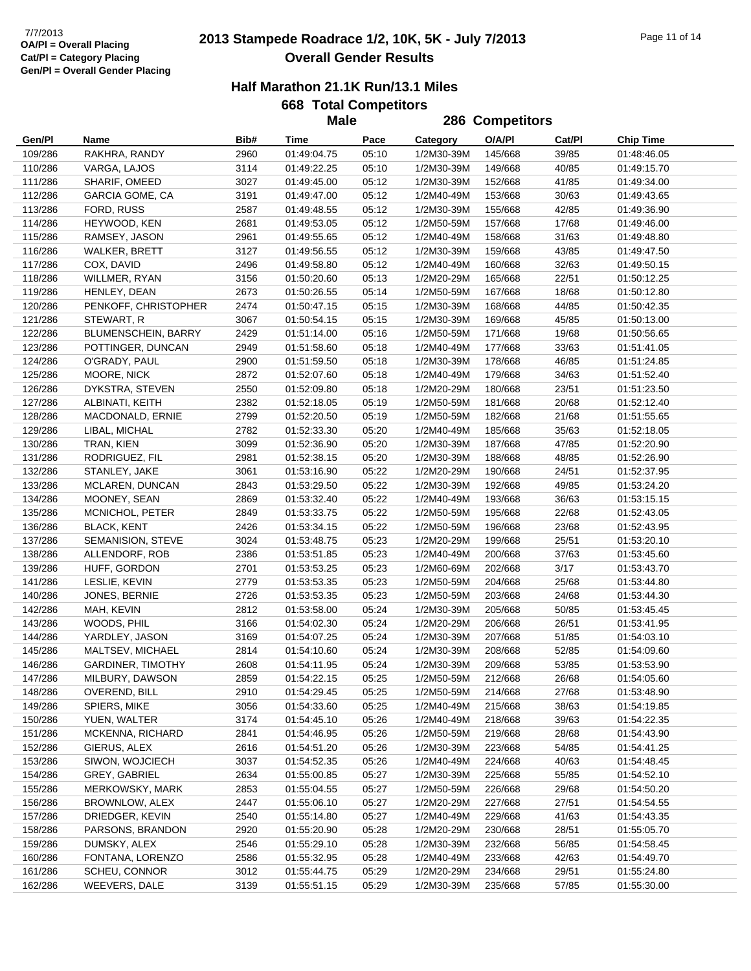## **2013 Stampede Roadrace 1/2, 10K, 5K - July 7/2013** 7/7/2013 Page 11 of 14 **Overall Gender Results**

### **Half Marathon 21.1K Run/13.1 Miles**

|                    |                                         |              | <b>Male</b>                |                |                          | 286 Competitors    |                |                            |
|--------------------|-----------------------------------------|--------------|----------------------------|----------------|--------------------------|--------------------|----------------|----------------------------|
| Gen/Pl             | Name                                    | Bib#         | Time                       | Pace           | <b>Category</b>          | O/A/PI             | Cat/Pl         | <b>Chip Time</b>           |
| 109/286            | RAKHRA, RANDY                           | 2960         | 01:49:04.75                | 05:10          | 1/2M30-39M               | 145/668            | 39/85          | 01:48:46.05                |
| 110/286            | VARGA, LAJOS                            | 3114         | 01:49:22.25                | 05:10          | 1/2M30-39M               | 149/668            | 40/85          | 01:49:15.70                |
| 111/286            | SHARIF, OMEED                           | 3027         | 01:49:45.00                | 05:12          | 1/2M30-39M               | 152/668            | 41/85          | 01:49:34.00                |
| 112/286            | <b>GARCIA GOME, CA</b>                  | 3191         | 01:49:47.00                | 05:12          | 1/2M40-49M               | 153/668            | 30/63          | 01:49:43.65                |
| 113/286            | FORD, RUSS                              | 2587         | 01:49:48.55                | 05:12          | 1/2M30-39M               | 155/668            | 42/85          | 01:49:36.90                |
| 114/286            | HEYWOOD, KEN                            | 2681         | 01:49:53.05                | 05:12          | 1/2M50-59M               | 157/668            | 17/68          | 01:49:46.00                |
| 115/286            | RAMSEY, JASON                           | 2961         | 01:49:55.65                | 05:12          | 1/2M40-49M               | 158/668            | 31/63          | 01:49:48.80                |
| 116/286            | WALKER, BRETT                           | 3127         | 01:49:56.55                | 05:12          | 1/2M30-39M               | 159/668            | 43/85          | 01:49:47.50                |
| 117/286            | COX, DAVID                              | 2496         | 01:49:58.80                | 05:12          | 1/2M40-49M               | 160/668            | 32/63          | 01:49:50.15                |
| 118/286            | WILLMER, RYAN                           | 3156         | 01:50:20.60                | 05:13          | 1/2M20-29M               | 165/668            | 22/51          | 01:50:12.25                |
| 119/286            | HENLEY, DEAN                            | 2673         | 01:50:26.55                | 05:14          | 1/2M50-59M               | 167/668            | 18/68          | 01:50:12.80                |
| 120/286            | PENKOFF, CHRISTOPHER                    | 2474         | 01:50:47.15                | 05:15          | 1/2M30-39M               | 168/668            | 44/85          | 01:50:42.35                |
| 121/286            | STEWART, R                              | 3067         | 01:50:54.15                | 05:15          | 1/2M30-39M               | 169/668            | 45/85          | 01:50:13.00                |
| 122/286            | BLUMENSCHEIN, BARRY                     | 2429         | 01:51:14.00                | 05:16          | 1/2M50-59M               | 171/668            | 19/68          | 01:50:56.65                |
| 123/286            | POTTINGER, DUNCAN                       | 2949         | 01:51:58.60                | 05:18          | 1/2M40-49M               | 177/668            | 33/63          | 01:51:41.05                |
| 124/286            | O'GRADY, PAUL                           | 2900         | 01:51:59.50                | 05:18          | 1/2M30-39M               | 178/668            | 46/85          | 01:51:24.85                |
| 125/286            | MOORE, NICK                             | 2872         | 01:52:07.60                | 05:18          | 1/2M40-49M               | 179/668            | 34/63          | 01:51:52.40                |
| 126/286            | DYKSTRA, STEVEN                         | 2550         | 01:52:09.80                | 05:18          | 1/2M20-29M               | 180/668            | 23/51          | 01:51:23.50                |
| 127/286            | ALBINATI, KEITH                         | 2382         | 01:52:18.05                | 05:19          | 1/2M50-59M               | 181/668            | 20/68          | 01:52:12.40                |
| 128/286            | MACDONALD, ERNIE                        | 2799         | 01:52:20.50                | 05:19          | 1/2M50-59M               | 182/668            | 21/68          | 01:51:55.65                |
| 129/286            | LIBAL, MICHAL                           | 2782         | 01:52:33.30                | 05:20          | 1/2M40-49M               | 185/668            | 35/63          | 01:52:18.05                |
| 130/286            | TRAN, KIEN                              | 3099         | 01:52:36.90                | 05:20          | 1/2M30-39M               | 187/668            | 47/85          | 01:52:20.90                |
| 131/286            | RODRIGUEZ, FIL                          | 2981         | 01:52:38.15                | 05:20          | 1/2M30-39M               | 188/668            | 48/85          | 01:52:26.90                |
| 132/286            | STANLEY, JAKE                           | 3061         | 01:53:16.90                | 05:22          | 1/2M20-29M               | 190/668            | 24/51          | 01:52:37.95                |
| 133/286            | MCLAREN, DUNCAN                         | 2843         | 01:53:29.50                | 05:22          | 1/2M30-39M               | 192/668            | 49/85          | 01:53:24.20                |
| 134/286            | MOONEY, SEAN                            | 2869         | 01:53:32.40                | 05:22          | 1/2M40-49M               | 193/668            | 36/63          | 01:53:15.15                |
| 135/286            | MCNICHOL, PETER                         | 2849         | 01:53:33.75                | 05:22          | 1/2M50-59M               | 195/668            | 22/68          | 01:52:43.05                |
| 136/286            | <b>BLACK, KENT</b>                      | 2426         | 01:53:34.15                | 05:22          | 1/2M50-59M               | 196/668            | 23/68          | 01:52:43.95                |
| 137/286            | SEMANISION, STEVE                       | 3024         | 01:53:48.75                | 05:23          | 1/2M20-29M               | 199/668            | 25/51          | 01:53:20.10                |
| 138/286            | ALLENDORF, ROB                          | 2386         | 01:53:51.85                | 05:23          | 1/2M40-49M               | 200/668            | 37/63          | 01:53:45.60                |
| 139/286            | HUFF, GORDON                            | 2701         | 01:53:53.25                | 05:23          | 1/2M60-69M               | 202/668            | 3/17           | 01:53:43.70                |
| 141/286            | LESLIE, KEVIN                           | 2779         | 01:53:53.35                | 05:23          | 1/2M50-59M               | 204/668            | 25/68          | 01:53:44.80                |
| 140/286            | JONES, BERNIE                           | 2726         | 01:53:53.35                | 05:23          | 1/2M50-59M               | 203/668            | 24/68          | 01:53:44.30                |
| 142/286            | MAH, KEVIN                              | 2812         | 01:53:58.00                | 05:24          | 1/2M30-39M               | 205/668            | 50/85          | 01:53:45.45                |
| 143/286            | WOODS, PHIL                             | 3166         | 01:54:02.30                | 05:24          | 1/2M20-29M               | 206/668            | 26/51          | 01:53:41.95                |
| 144/286            | YARDLEY, JASON                          | 3169         | 01:54:07.25                | 05:24          | 1/2M30-39M               | 207/668            | 51/85          | 01:54:03.10                |
| 145/286            | MALTSEV, MICHAEL                        | 2814         | 01:54:10.60                | 05:24          | 1/2M30-39M               | 208/668            | 52/85          | 01:54:09.60                |
| 146/286            | <b>GARDINER, TIMOTHY</b>                | 2608         | 01:54:11.95                | 05:24          | 1/2M30-39M 209/668       |                    | 53/85          | 01:53:53.90                |
| 147/286            | MILBURY, DAWSON                         | 2859         | 01:54:22.15                | 05:25          | 1/2M50-59M               | 212/668            | 26/68          | 01:54:05.60                |
| 148/286            | OVEREND, BILL                           | 2910         | 01:54:29.45                | 05:25          | 1/2M50-59M               | 214/668            | 27/68          | 01:53:48.90                |
| 149/286            | SPIERS, MIKE                            | 3056         | 01:54:33.60                | 05:25          | 1/2M40-49M               | 215/668            | 38/63          | 01:54:19.85                |
| 150/286            | YUEN, WALTER                            | 3174         | 01:54:45.10                | 05:26          | 1/2M40-49M               | 218/668            | 39/63          | 01:54:22.35                |
| 151/286<br>152/286 | <b>MCKENNA, RICHARD</b><br>GIERUS, ALEX | 2841         | 01:54:46.95                | 05:26          | 1/2M50-59M               | 219/668            | 28/68          | 01:54:43.90<br>01:54:41.25 |
|                    |                                         | 2616         | 01:54:51.20                | 05:26          | 1/2M30-39M               | 223/668            | 54/85          |                            |
| 153/286            | SIWON, WOJCIECH                         | 3037         | 01:54:52.35                | 05:26          | 1/2M40-49M               | 224/668            | 40/63          | 01:54:48.45                |
| 154/286            | GREY, GABRIEL                           | 2634<br>2853 | 01:55:00.85<br>01:55:04.55 | 05:27          | 1/2M30-39M               | 225/668            | 55/85          | 01:54:52.10<br>01:54:50.20 |
| 155/286<br>156/286 | MERKOWSKY, MARK<br>BROWNLOW, ALEX       | 2447         | 01:55:06.10                | 05:27<br>05:27 | 1/2M50-59M<br>1/2M20-29M | 226/668<br>227/668 | 29/68<br>27/51 | 01:54:54.55                |
| 157/286            | DRIEDGER, KEVIN                         | 2540         | 01:55:14.80                | 05:27          | 1/2M40-49M               | 229/668            | 41/63          | 01:54:43.35                |
| 158/286            | PARSONS, BRANDON                        | 2920         | 01:55:20.90                | 05:28          | 1/2M20-29M               | 230/668            | 28/51          | 01:55:05.70                |
| 159/286            | DUMSKY, ALEX                            | 2546         | 01:55:29.10                | 05:28          | 1/2M30-39M               | 232/668            | 56/85          | 01:54:58.45                |
| 160/286            | FONTANA, LORENZO                        | 2586         | 01:55:32.95                | 05:28          | 1/2M40-49M               | 233/668            | 42/63          | 01:54:49.70                |
| 161/286            | SCHEU, CONNOR                           | 3012         | 01:55:44.75                | 05:29          | 1/2M20-29M               | 234/668            | 29/51          | 01:55:24.80                |
| 162/286            | WEEVERS, DALE                           | 3139         | 01:55:51.15                | 05:29          | 1/2M30-39M               | 235/668            | 57/85          | 01:55:30.00                |
|                    |                                         |              |                            |                |                          |                    |                |                            |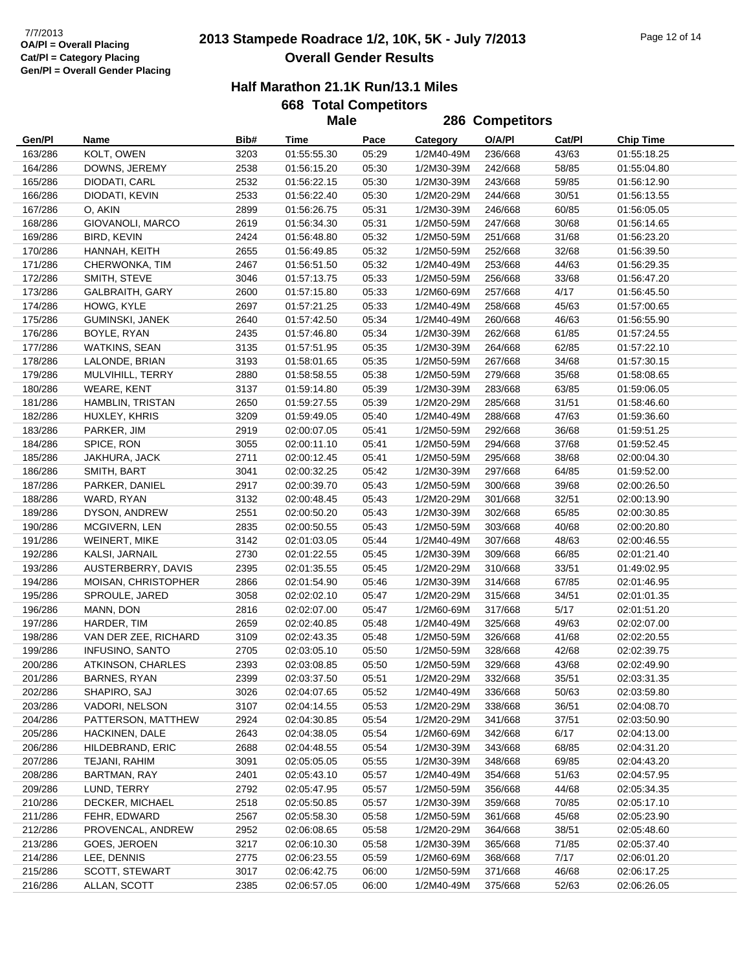## **2013 Stampede Roadrace 1/2, 10K, 5K - July 7/2013** 7/7/2013 Page 12 of 14 **Overall Gender Results**

### **Half Marathon 21.1K Run/13.1 Miles**

|                    |                                   |              | <b>Male</b>                |                |                          | 286 Competitors    |                |                            |
|--------------------|-----------------------------------|--------------|----------------------------|----------------|--------------------------|--------------------|----------------|----------------------------|
| Gen/Pl             | Name                              | Bib#         | Time                       | Pace           | Category                 | O/A/PI             | Cat/Pl         | <b>Chip Time</b>           |
| 163/286            | KOLT, OWEN                        | 3203         | 01:55:55.30                | 05:29          | 1/2M40-49M               | 236/668            | 43/63          | 01:55:18.25                |
| 164/286            | DOWNS, JEREMY                     | 2538         | 01:56:15.20                | 05:30          | 1/2M30-39M               | 242/668            | 58/85          | 01:55:04.80                |
| 165/286            | DIODATI, CARL                     | 2532         | 01:56:22.15                | 05:30          | 1/2M30-39M               | 243/668            | 59/85          | 01:56:12.90                |
| 166/286            | DIODATI, KEVIN                    | 2533         | 01:56:22.40                | 05:30          | 1/2M20-29M               | 244/668            | 30/51          | 01:56:13.55                |
| 167/286            | O, AKIN                           | 2899         | 01:56:26.75                | 05:31          | 1/2M30-39M               | 246/668            | 60/85          | 01:56:05.05                |
| 168/286            | GIOVANOLI, MARCO                  | 2619         | 01:56:34.30                | 05:31          | 1/2M50-59M               | 247/668            | 30/68          | 01:56:14.65                |
| 169/286            | <b>BIRD, KEVIN</b>                | 2424         | 01:56:48.80                | 05:32          | 1/2M50-59M               | 251/668            | 31/68          | 01:56:23.20                |
| 170/286            | HANNAH, KEITH                     | 2655         | 01:56:49.85                | 05:32          | 1/2M50-59M               | 252/668            | 32/68          | 01:56:39.50                |
| 171/286            | CHERWONKA, TIM                    | 2467         | 01:56:51.50                | 05:32          | 1/2M40-49M               | 253/668            | 44/63          | 01:56:29.35                |
| 172/286            | SMITH, STEVE                      | 3046         | 01:57:13.75                | 05:33          | 1/2M50-59M               | 256/668            | 33/68          | 01:56:47.20                |
| 173/286            | GALBRAITH, GARY                   | 2600         | 01:57:15.80                | 05:33          | 1/2M60-69M               | 257/668            | 4/17           | 01:56:45.50                |
| 174/286            | HOWG, KYLE                        | 2697         | 01:57:21.25                | 05:33          | 1/2M40-49M               | 258/668            | 45/63          | 01:57:00.65                |
| 175/286            | GUMINSKI, JANEK                   | 2640         | 01:57:42.50                | 05:34          | 1/2M40-49M               | 260/668            | 46/63          | 01:56:55.90                |
| 176/286            | BOYLE, RYAN                       | 2435         | 01:57:46.80                | 05:34          | 1/2M30-39M               | 262/668            | 61/85          | 01:57:24.55                |
| 177/286            | WATKINS, SEAN                     | 3135         | 01:57:51.95                | 05:35          | 1/2M30-39M               | 264/668            | 62/85          | 01:57:22.10                |
| 178/286            | LALONDE, BRIAN                    | 3193         | 01:58:01.65                | 05:35          | 1/2M50-59M               | 267/668            | 34/68          | 01:57:30.15                |
| 179/286            | MULVIHILL, TERRY                  | 2880         | 01:58:58.55                | 05:38          | 1/2M50-59M               | 279/668            | 35/68          | 01:58:08.65                |
| 180/286            | <b>WEARE, KENT</b>                | 3137         | 01:59:14.80                | 05:39          | 1/2M30-39M               | 283/668            | 63/85          | 01:59:06.05                |
| 181/286            | HAMBLIN, TRISTAN                  | 2650         | 01:59:27.55                | 05:39          | 1/2M20-29M               | 285/668            | 31/51          | 01:58:46.60                |
| 182/286            | HUXLEY, KHRIS                     | 3209         | 01:59:49.05                | 05:40          | 1/2M40-49M               | 288/668            | 47/63          | 01:59:36.60                |
| 183/286            | PARKER, JIM                       | 2919         | 02:00:07.05                | 05:41          | 1/2M50-59M               | 292/668            | 36/68          | 01:59:51.25                |
| 184/286            | SPICE, RON                        | 3055         | 02:00:11.10                | 05:41          | 1/2M50-59M               | 294/668            | 37/68          | 01:59:52.45                |
| 185/286            | JAKHURA, JACK                     | 2711         | 02:00:12.45                | 05:41          | 1/2M50-59M               | 295/668            | 38/68          | 02:00:04.30                |
| 186/286            | SMITH, BART                       | 3041         | 02:00:32.25                | 05:42          | 1/2M30-39M               | 297/668            | 64/85          | 01:59:52.00                |
| 187/286            | PARKER, DANIEL                    | 2917         | 02:00:39.70                | 05:43          | 1/2M50-59M               | 300/668            | 39/68          | 02:00:26.50                |
| 188/286            | WARD, RYAN                        | 3132         | 02:00:48.45                | 05:43          | 1/2M20-29M               | 301/668            | 32/51          | 02:00:13.90                |
| 189/286            | DYSON, ANDREW                     | 2551         | 02:00:50.20                | 05:43          | 1/2M30-39M               | 302/668            | 65/85          | 02:00:30.85                |
| 190/286            | MCGIVERN, LEN                     | 2835         | 02:00:50.55                | 05:43          | 1/2M50-59M               | 303/668            | 40/68          | 02:00:20.80                |
| 191/286            | <b>WEINERT, MIKE</b>              | 3142         | 02:01:03.05                | 05:44          | 1/2M40-49M               | 307/668            | 48/63          | 02:00:46.55                |
| 192/286            | KALSI, JARNAIL                    | 2730         | 02:01:22.55                | 05:45          | 1/2M30-39M               | 309/668            | 66/85          | 02:01:21.40                |
| 193/286            | AUSTERBERRY, DAVIS                | 2395         | 02:01:35.55                | 05:45          | 1/2M20-29M               | 310/668            | 33/51          | 01:49:02.95                |
| 194/286            | MOISAN, CHRISTOPHER               | 2866         | 02:01:54.90                | 05:46          | 1/2M30-39M               | 314/668            | 67/85          | 02:01:46.95                |
| 195/286            | SPROULE, JARED                    | 3058         | 02:02:02.10                | 05:47          | 1/2M20-29M               | 315/668            | 34/51          | 02:01:01.35                |
| 196/286            | MANN, DON                         | 2816         | 02:02:07.00                | 05:47          | 1/2M60-69M               | 317/668            | $5/17$         | 02:01:51.20                |
| 197/286            | HARDER, TIM                       | 2659         | 02:02:40.85                | 05:48          | 1/2M40-49M               | 325/668            | 49/63          | 02:02:07.00                |
| 198/286            | VAN DER ZEE, RICHARD              | 3109         | 02:02:43.35                | 05:48          | 1/2M50-59M               | 326/668            | 41/68          | 02:02:20.55                |
| 199/286            | <b>INFUSINO, SANTO</b>            | 2705         | 02:03:05.10                | 05:50          | 1/2M50-59M               | 328/668            | 42/68          | 02:02:39.75                |
| 200/286            | ATKINSON, CHARLES                 | 2393         | 02:03:08.85                | 05:50          | 1/2M50-59M               | 329/668            | 43/68          | 02:02:49.90                |
| 201/286            | BARNES, RYAN                      | 2399         | 02:03:37.50                | 05:51          | 1/2M20-29M               | 332/668            | 35/51          | 02:03:31.35                |
| 202/286            | SHAPIRO, SAJ                      | 3026         | 02:04:07.65                | 05:52          | 1/2M40-49M               | 336/668            | 50/63          | 02:03:59.80                |
| 203/286            | VADORI, NELSON                    | 3107         | 02:04:14.55                | 05:53          | 1/2M20-29M               | 338/668            | 36/51          | 02:04:08.70                |
| 204/286            | PATTERSON, MATTHEW                | 2924         | 02:04:30.85                | 05:54          | 1/2M20-29M               | 341/668            | 37/51          | 02:03:50.90                |
| 205/286            | HACKINEN, DALE                    | 2643         | 02:04:38.05                | 05:54          | 1/2M60-69M               | 342/668            | 6/17           | 02:04:13.00                |
| 206/286            | HILDEBRAND, ERIC                  | 2688         | 02:04:48.55                | 05:54          | 1/2M30-39M               | 343/668            | 68/85          | 02:04:31.20                |
| 207/286            | TEJANI, RAHIM                     | 3091         | 02:05:05.05                | 05:55          | 1/2M30-39M               | 348/668            | 69/85          | 02:04:43.20                |
| 208/286            | BARTMAN, RAY<br>LUND, TERRY       | 2401         | 02:05:43.10                | 05:57          | 1/2M40-49M               | 354/668            | 51/63          | 02:04:57.95                |
| 209/286            | DECKER, MICHAEL                   | 2792<br>2518 | 02:05:47.95<br>02:05:50.85 | 05:57          | 1/2M50-59M               | 356/668            | 44/68          | 02:05:34.35                |
| 210/286            |                                   |              |                            | 05:57          | 1/2M30-39M               | 359/668<br>361/668 | 70/85          | 02:05:17.10                |
| 211/286            | FEHR, EDWARD<br>PROVENCAL, ANDREW | 2567<br>2952 | 02:05:58.30                | 05:58          | 1/2M50-59M               |                    | 45/68          | 02:05:23.90                |
| 212/286<br>213/286 | GOES, JEROEN                      |              | 02:06:08.65<br>02:06:10.30 | 05:58<br>05:58 | 1/2M20-29M<br>1/2M30-39M | 364/668<br>365/668 | 38/51<br>71/85 | 02:05:48.60<br>02:05:37.40 |
| 214/286            | LEE, DENNIS                       | 3217<br>2775 | 02:06:23.55                | 05:59          | 1/2M60-69M               | 368/668            | 7/17           | 02:06:01.20                |
| 215/286            | SCOTT, STEWART                    | 3017         | 02:06:42.75                | 06:00          | 1/2M50-59M               | 371/668            | 46/68          | 02:06:17.25                |
| 216/286            | ALLAN, SCOTT                      | 2385         | 02:06:57.05                | 06:00          | 1/2M40-49M               | 375/668            | 52/63          | 02:06:26.05                |
|                    |                                   |              |                            |                |                          |                    |                |                            |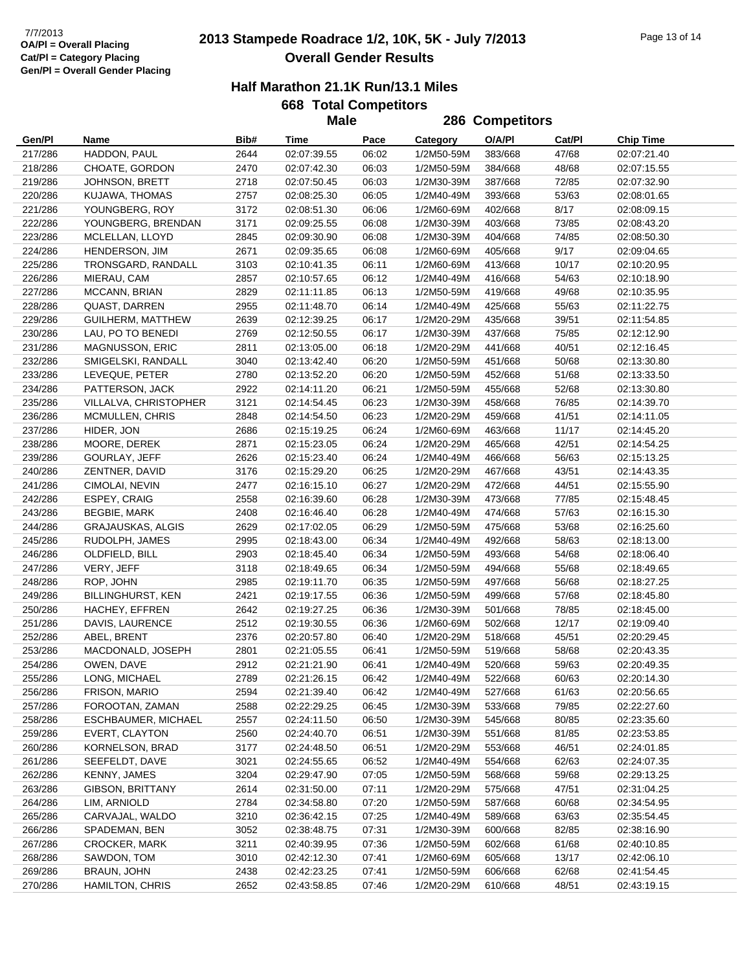## **2013 Stampede Roadrace 1/2, 10K, 5K - July 7/2013** 7/7/2013 Page 13 of 14 **Overall Gender Results**

### **Half Marathon 21.1K Run/13.1 Miles**

|         |                          |      | <b>Male</b> |       |            | 286 Competitors |        |                  |
|---------|--------------------------|------|-------------|-------|------------|-----------------|--------|------------------|
| Gen/Pl  | Name                     | Bib# | Time        | Pace  | Category   | O/A/PI          | Cat/PI | <b>Chip Time</b> |
| 217/286 | HADDON, PAUL             | 2644 | 02:07:39.55 | 06:02 | 1/2M50-59M | 383/668         | 47/68  | 02:07:21.40      |
| 218/286 | CHOATE, GORDON           | 2470 | 02:07:42.30 | 06:03 | 1/2M50-59M | 384/668         | 48/68  | 02:07:15.55      |
| 219/286 | JOHNSON, BRETT           | 2718 | 02:07:50.45 | 06:03 | 1/2M30-39M | 387/668         | 72/85  | 02:07:32.90      |
| 220/286 | KUJAWA, THOMAS           | 2757 | 02:08:25.30 | 06:05 | 1/2M40-49M | 393/668         | 53/63  | 02:08:01.65      |
| 221/286 | YOUNGBERG, ROY           | 3172 | 02:08:51.30 | 06:06 | 1/2M60-69M | 402/668         | 8/17   | 02:08:09.15      |
| 222/286 | YOUNGBERG, BRENDAN       | 3171 | 02:09:25.55 | 06:08 | 1/2M30-39M | 403/668         | 73/85  | 02:08:43.20      |
| 223/286 | MCLELLAN, LLOYD          | 2845 | 02:09:30.90 | 06:08 | 1/2M30-39M | 404/668         | 74/85  | 02:08:50.30      |
| 224/286 | HENDERSON, JIM           | 2671 | 02:09:35.65 | 06:08 | 1/2M60-69M | 405/668         | 9/17   | 02:09:04.65      |
| 225/286 | TRONSGARD, RANDALL       | 3103 | 02:10:41.35 | 06:11 | 1/2M60-69M | 413/668         | 10/17  | 02:10:20.95      |
| 226/286 | MIERAU, CAM              | 2857 | 02:10:57.65 | 06:12 | 1/2M40-49M | 416/668         | 54/63  | 02:10:18.90      |
| 227/286 | MCCANN, BRIAN            | 2829 | 02:11:11.85 | 06:13 | 1/2M50-59M | 419/668         | 49/68  | 02:10:35.95      |
| 228/286 | <b>QUAST, DARREN</b>     | 2955 | 02:11:48.70 | 06:14 | 1/2M40-49M | 425/668         | 55/63  | 02:11:22.75      |
| 229/286 | GUILHERM, MATTHEW        | 2639 | 02:12:39.25 | 06:17 | 1/2M20-29M | 435/668         | 39/51  | 02:11:54.85      |
| 230/286 | LAU, PO TO BENEDI        | 2769 | 02:12:50.55 | 06:17 | 1/2M30-39M | 437/668         | 75/85  | 02:12:12.90      |
| 231/286 | MAGNUSSON, ERIC          | 2811 | 02:13:05.00 | 06:18 | 1/2M20-29M | 441/668         | 40/51  | 02:12:16.45      |
| 232/286 | SMIGELSKI, RANDALL       | 3040 | 02:13:42.40 | 06:20 | 1/2M50-59M | 451/668         | 50/68  | 02:13:30.80      |
| 233/286 | LEVEQUE, PETER           | 2780 | 02:13:52.20 | 06:20 | 1/2M50-59M | 452/668         | 51/68  | 02:13:33.50      |
| 234/286 | PATTERSON, JACK          | 2922 | 02:14:11.20 | 06:21 | 1/2M50-59M | 455/668         | 52/68  | 02:13:30.80      |
| 235/286 | VILLALVA, CHRISTOPHER    | 3121 | 02:14:54.45 | 06:23 | 1/2M30-39M | 458/668         | 76/85  | 02:14:39.70      |
| 236/286 | MCMULLEN, CHRIS          | 2848 | 02:14:54.50 | 06:23 | 1/2M20-29M | 459/668         | 41/51  | 02:14:11.05      |
| 237/286 | HIDER, JON               | 2686 | 02:15:19.25 | 06:24 | 1/2M60-69M | 463/668         | 11/17  | 02:14:45.20      |
| 238/286 | MOORE, DEREK             | 2871 | 02:15:23.05 | 06:24 | 1/2M20-29M | 465/668         | 42/51  | 02:14:54.25      |
| 239/286 | GOURLAY, JEFF            | 2626 | 02:15:23.40 | 06:24 | 1/2M40-49M | 466/668         | 56/63  | 02:15:13.25      |
| 240/286 | ZENTNER, DAVID           | 3176 | 02:15:29.20 | 06:25 | 1/2M20-29M | 467/668         | 43/51  | 02:14:43.35      |
| 241/286 | CIMOLAI, NEVIN           | 2477 | 02:16:15.10 | 06:27 | 1/2M20-29M | 472/668         | 44/51  | 02:15:55.90      |
| 242/286 | ESPEY, CRAIG             | 2558 | 02:16:39.60 | 06:28 | 1/2M30-39M | 473/668         | 77/85  | 02:15:48.45      |
| 243/286 | <b>BEGBIE, MARK</b>      | 2408 | 02:16:46.40 | 06:28 | 1/2M40-49M | 474/668         | 57/63  | 02:16:15.30      |
| 244/286 | <b>GRAJAUSKAS, ALGIS</b> | 2629 | 02:17:02.05 | 06:29 | 1/2M50-59M | 475/668         | 53/68  | 02:16:25.60      |
| 245/286 | RUDOLPH, JAMES           | 2995 | 02:18:43.00 | 06:34 | 1/2M40-49M | 492/668         | 58/63  | 02:18:13.00      |
| 246/286 | OLDFIELD, BILL           | 2903 | 02:18:45.40 | 06:34 | 1/2M50-59M | 493/668         | 54/68  | 02:18:06.40      |
| 247/286 | VERY, JEFF               | 3118 | 02:18:49.65 | 06:34 | 1/2M50-59M | 494/668         | 55/68  | 02:18:49.65      |
| 248/286 | ROP, JOHN                | 2985 | 02:19:11.70 | 06:35 | 1/2M50-59M | 497/668         | 56/68  | 02:18:27.25      |
| 249/286 | <b>BILLINGHURST, KEN</b> | 2421 | 02:19:17.55 | 06:36 | 1/2M50-59M | 499/668         | 57/68  | 02:18:45.80      |
| 250/286 | HACHEY, EFFREN           | 2642 | 02:19:27.25 | 06:36 | 1/2M30-39M | 501/668         | 78/85  | 02:18:45.00      |
| 251/286 | DAVIS, LAURENCE          | 2512 | 02:19:30.55 | 06:36 | 1/2M60-69M | 502/668         | 12/17  | 02:19:09.40      |
| 252/286 | ABEL, BRENT              | 2376 | 02:20:57.80 | 06:40 | 1/2M20-29M | 518/668         | 45/51  | 02:20:29.45      |
| 253/286 | MACDONALD, JOSEPH        | 2801 | 02:21:05.55 | 06:41 | 1/2M50-59M | 519/668         | 58/68  | 02:20:43.35      |
| 254/286 | OWEN, DAVE               | 2912 | 02:21:21.90 | 06:41 | 1/2M40-49M | 520/668         | 59/63  | 02:20:49.35      |
| 255/286 | LONG, MICHAEL            | 2789 | 02:21:26.15 | 06:42 | 1/2M40-49M | 522/668         | 60/63  | 02:20:14.30      |
| 256/286 | FRISON, MARIO            | 2594 | 02:21:39.40 | 06:42 | 1/2M40-49M | 527/668         | 61/63  | 02:20:56.65      |
| 257/286 | FOROOTAN, ZAMAN          | 2588 | 02:22:29.25 | 06:45 | 1/2M30-39M | 533/668         | 79/85  | 02:22:27.60      |
| 258/286 | ESCHBAUMER, MICHAEL      | 2557 | 02:24:11.50 | 06:50 | 1/2M30-39M | 545/668         | 80/85  | 02:23:35.60      |
| 259/286 | EVERT, CLAYTON           | 2560 | 02:24:40.70 | 06:51 | 1/2M30-39M | 551/668         | 81/85  | 02:23:53.85      |
| 260/286 | KORNELSON, BRAD          | 3177 | 02:24:48.50 | 06:51 | 1/2M20-29M | 553/668         | 46/51  | 02:24:01.85      |
| 261/286 | SEEFELDT, DAVE           | 3021 | 02:24:55.65 | 06:52 | 1/2M40-49M | 554/668         | 62/63  | 02:24:07.35      |
| 262/286 | KENNY, JAMES             | 3204 | 02:29:47.90 | 07:05 | 1/2M50-59M | 568/668         | 59/68  | 02:29:13.25      |
| 263/286 | GIBSON, BRITTANY         | 2614 | 02:31:50.00 | 07:11 | 1/2M20-29M | 575/668         | 47/51  | 02:31:04.25      |
| 264/286 | LIM, ARNIOLD             | 2784 | 02:34:58.80 | 07:20 | 1/2M50-59M | 587/668         | 60/68  | 02:34:54.95      |
| 265/286 | CARVAJAL, WALDO          | 3210 | 02:36:42.15 | 07:25 | 1/2M40-49M | 589/668         | 63/63  | 02:35:54.45      |
| 266/286 | SPADEMAN, BEN            | 3052 | 02:38:48.75 | 07:31 | 1/2M30-39M | 600/668         | 82/85  | 02:38:16.90      |
| 267/286 | <b>CROCKER, MARK</b>     | 3211 | 02:40:39.95 | 07:36 | 1/2M50-59M | 602/668         | 61/68  | 02:40:10.85      |
| 268/286 | SAWDON, TOM              | 3010 | 02:42:12.30 | 07:41 | 1/2M60-69M | 605/668         | 13/17  | 02:42:06.10      |
| 269/286 | BRAUN, JOHN              | 2438 | 02:42:23.25 | 07:41 | 1/2M50-59M | 606/668         | 62/68  | 02:41:54.45      |
| 270/286 | <b>HAMILTON, CHRIS</b>   | 2652 | 02:43:58.85 | 07:46 | 1/2M20-29M | 610/668         | 48/51  | 02:43:19.15      |